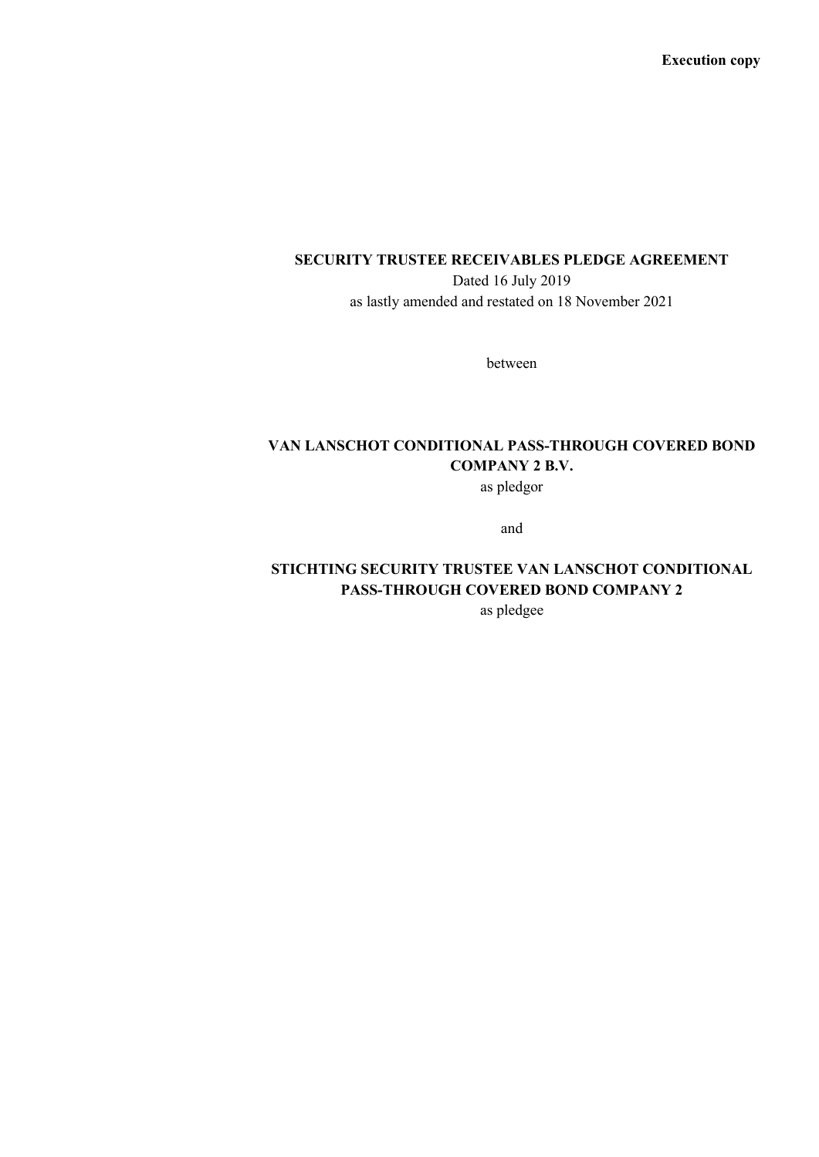**Execution copy**

## **SECURITY TRUSTEE RECEIVABLES PLEDGE AGREEMENT**

Dated 16 July 2019 as lastly amended and restated on 18 November 2021

between

# **VAN LANSCHOT CONDITIONAL PASS-THROUGH COVERED BOND COMPANY 2 B.V.**

as pledgor

and

# **STICHTING SECURITY TRUSTEE VAN LANSCHOT CONDITIONAL PASS-THROUGH COVERED BOND COMPANY 2**

as pledgee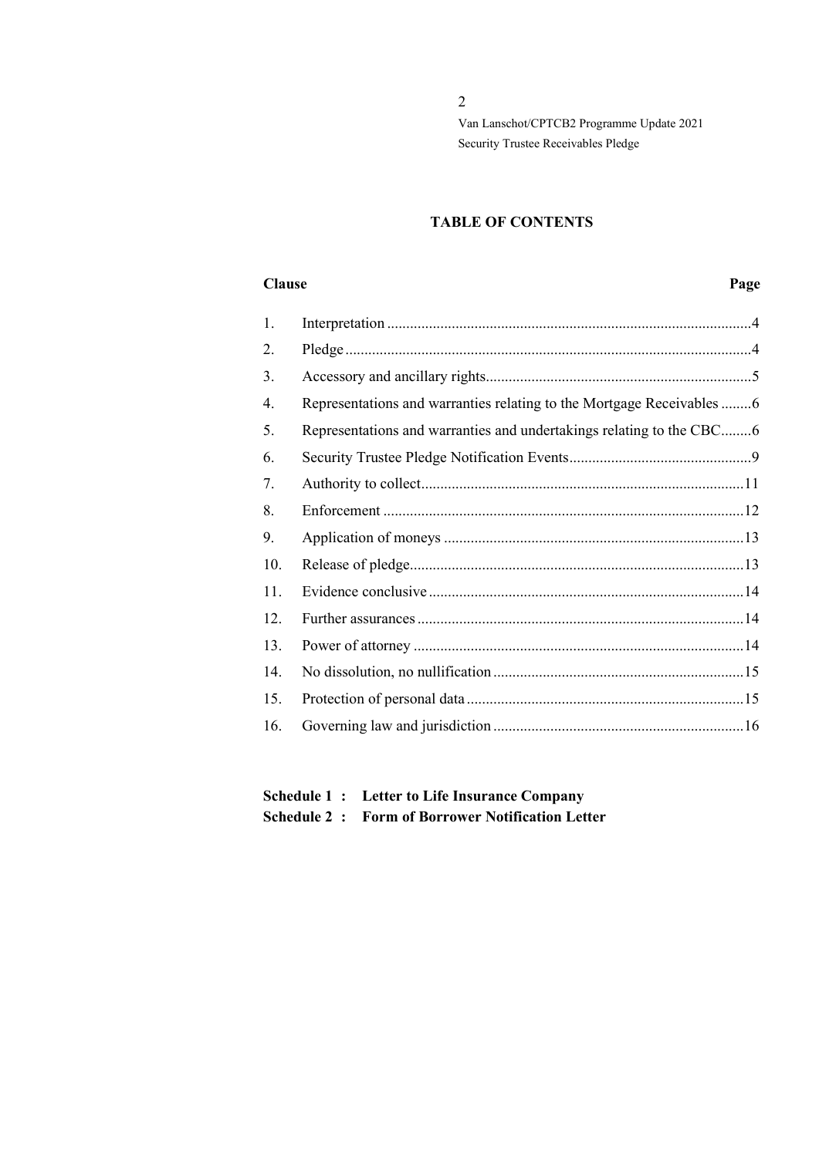## **TABLE OF CONTENTS**

#### **Clause Page**

| 1.  |                                                                       |  |
|-----|-----------------------------------------------------------------------|--|
| 2.  |                                                                       |  |
| 3.  |                                                                       |  |
| 4.  | Representations and warranties relating to the Mortgage Receivables 6 |  |
| 5.  | Representations and warranties and undertakings relating to the CBC6  |  |
| 6.  |                                                                       |  |
| 7.  |                                                                       |  |
| 8.  |                                                                       |  |
| 9.  |                                                                       |  |
| 10. |                                                                       |  |
| 11. |                                                                       |  |
| 12. |                                                                       |  |
| 13. |                                                                       |  |
| 14. |                                                                       |  |
| 15. |                                                                       |  |
| 16. |                                                                       |  |
|     |                                                                       |  |

# **Schedule 1 : Letter to Life Insurance Company Schedule 2 : Form of Borrower Notification Letter**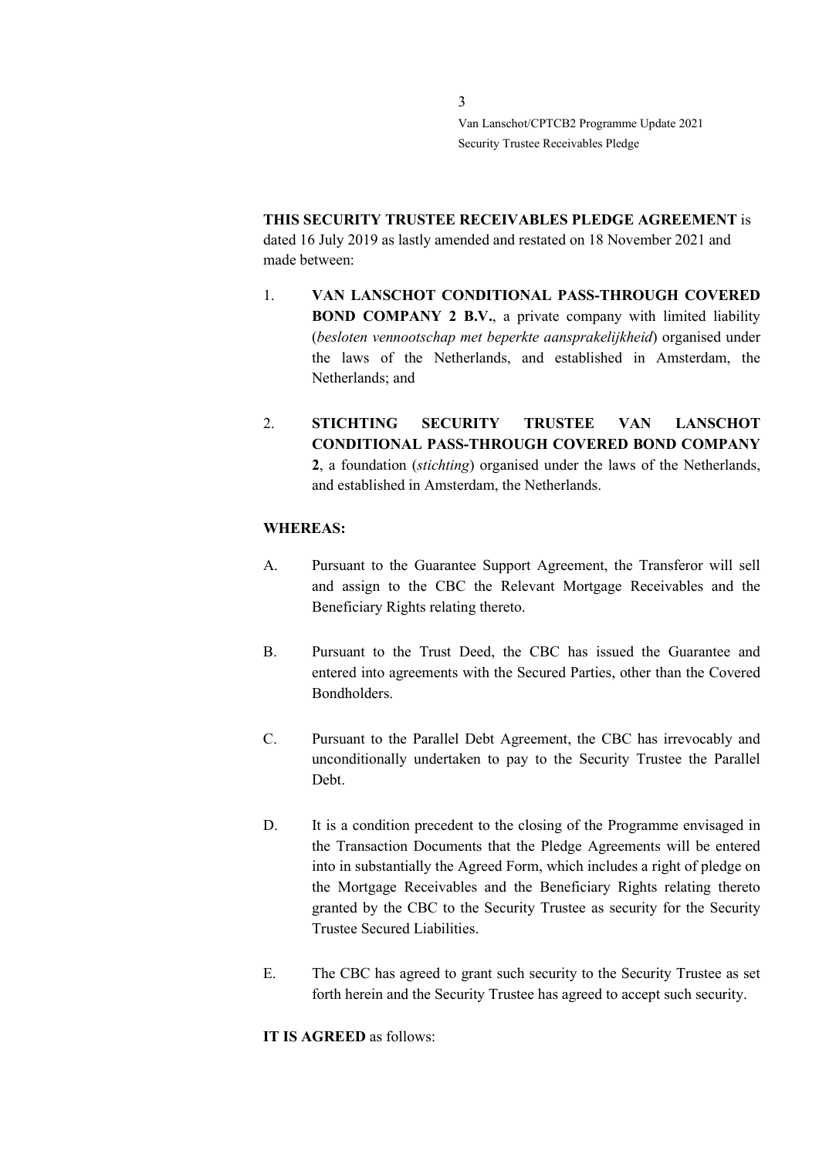**THIS SECURITY TRUSTEE RECEIVABLES PLEDGE AGREEMENT** is dated 16 July 2019 as lastly amended and restated on 18 November 2021 and made between:

- 1. **VAN LANSCHOT CONDITIONAL PASS-THROUGH COVERED BOND COMPANY 2 B.V.**, a private company with limited liability (*besloten vennootschap met beperkte aansprakelijkheid*) organised under the laws of the Netherlands, and established in Amsterdam, the Netherlands; and
- 2. **STICHTING SECURITY TRUSTEE VAN LANSCHOT CONDITIONAL PASS-THROUGH COVERED BOND COMPANY 2**, a foundation (*stichting*) organised under the laws of the Netherlands, and established in Amsterdam, the Netherlands.

## **WHEREAS:**

- A. Pursuant to the Guarantee Support Agreement, the Transferor will sell and assign to the CBC the Relevant Mortgage Receivables and the Beneficiary Rights relating thereto.
- B. Pursuant to the Trust Deed, the CBC has issued the Guarantee and entered into agreements with the Secured Parties, other than the Covered Bondholders.
- C. Pursuant to the Parallel Debt Agreement, the CBC has irrevocably and unconditionally undertaken to pay to the Security Trustee the Parallel Debt.
- D. It is a condition precedent to the closing of the Programme envisaged in the Transaction Documents that the Pledge Agreements will be entered into in substantially the Agreed Form, which includes a right of pledge on the Mortgage Receivables and the Beneficiary Rights relating thereto granted by the CBC to the Security Trustee as security for the Security Trustee Secured Liabilities.
- E. The CBC has agreed to grant such security to the Security Trustee as set forth herein and the Security Trustee has agreed to accept such security.

**IT IS AGREED** as follows: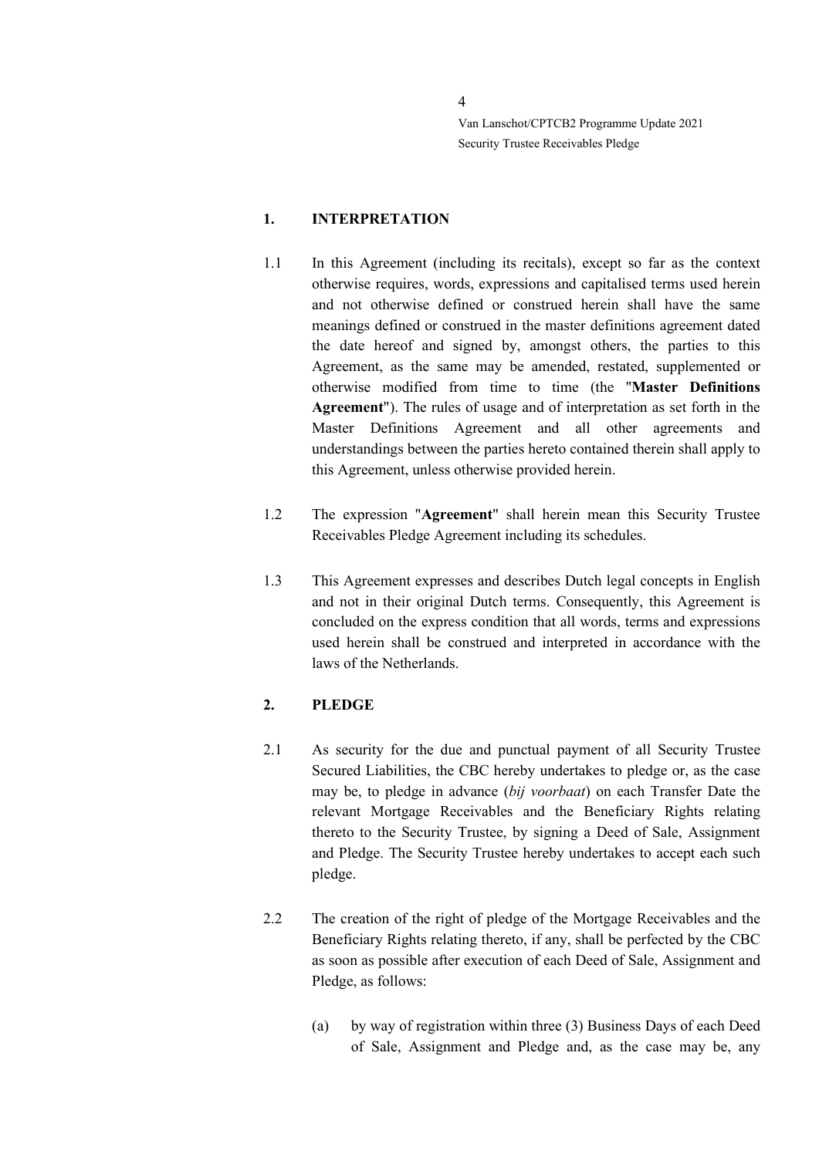### <span id="page-3-0"></span>**1. INTERPRETATION**

- 1.1 In this Agreement (including its recitals), except so far as the context otherwise requires, words, expressions and capitalised terms used herein and not otherwise defined or construed herein shall have the same meanings defined or construed in the master definitions agreement dated the date hereof and signed by, amongst others, the parties to this Agreement, as the same may be amended, restated, supplemented or otherwise modified from time to time (the "**Master Definitions Agreement**"). The rules of usage and of interpretation as set forth in the Master Definitions Agreement and all other agreements and understandings between the parties hereto contained therein shall apply to this Agreement, unless otherwise provided herein.
- 1.2 The expression "**Agreement**" shall herein mean this Security Trustee Receivables Pledge Agreement including its schedules.
- 1.3 This Agreement expresses and describes Dutch legal concepts in English and not in their original Dutch terms. Consequently, this Agreement is concluded on the express condition that all words, terms and expressions used herein shall be construed and interpreted in accordance with the laws of the Netherlands.

## <span id="page-3-1"></span>**2. PLEDGE**

- 2.1 As security for the due and punctual payment of all Security Trustee Secured Liabilities, the CBC hereby undertakes to pledge or, as the case may be, to pledge in advance (*bij voorbaat*) on each Transfer Date the relevant Mortgage Receivables and the Beneficiary Rights relating thereto to the Security Trustee, by signing a Deed of Sale, Assignment and Pledge. The Security Trustee hereby undertakes to accept each such pledge.
- 2.2 The creation of the right of pledge of the Mortgage Receivables and the Beneficiary Rights relating thereto, if any, shall be perfected by the CBC as soon as possible after execution of each Deed of Sale, Assignment and Pledge, as follows:
	- (a) by way of registration within three (3) Business Days of each Deed of Sale, Assignment and Pledge and, as the case may be, any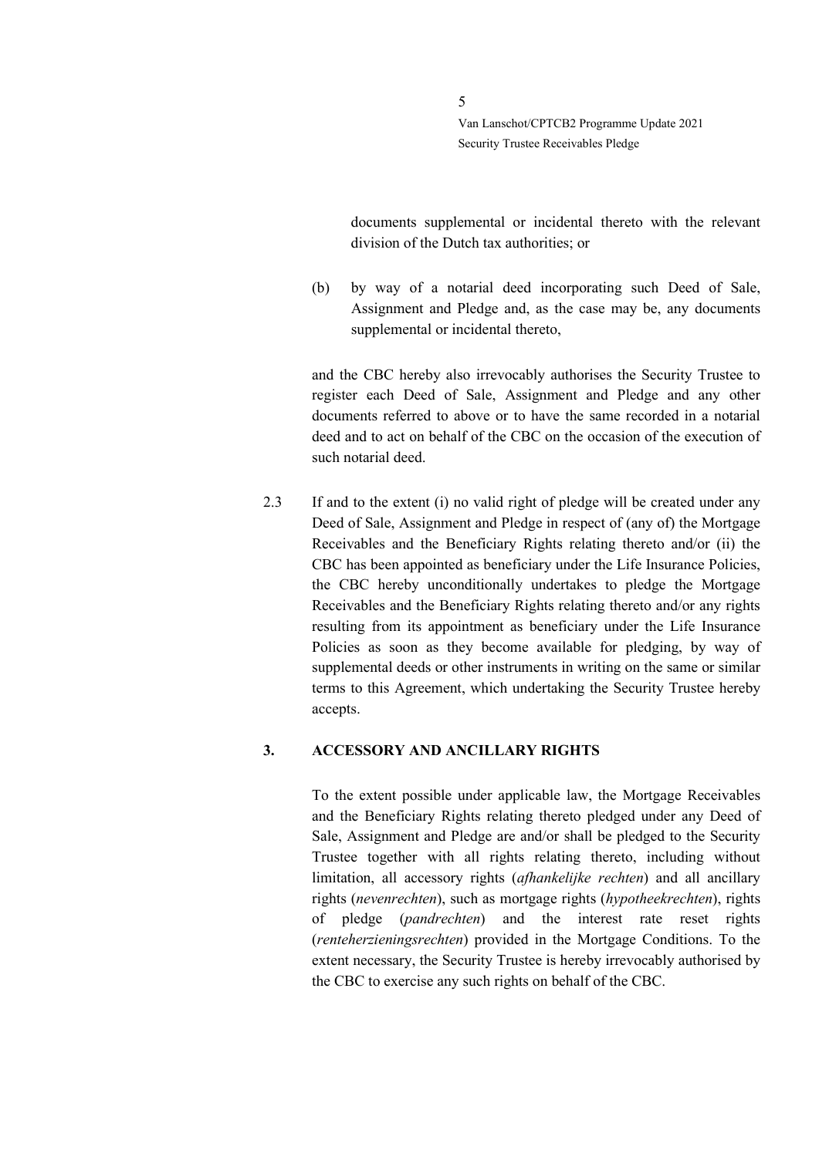documents supplemental or incidental thereto with the relevant division of the Dutch tax authorities; or

(b) by way of a notarial deed incorporating such Deed of Sale, Assignment and Pledge and, as the case may be, any documents supplemental or incidental thereto,

and the CBC hereby also irrevocably authorises the Security Trustee to register each Deed of Sale, Assignment and Pledge and any other documents referred to above or to have the same recorded in a notarial deed and to act on behalf of the CBC on the occasion of the execution of such notarial deed.

2.3 If and to the extent (i) no valid right of pledge will be created under any Deed of Sale, Assignment and Pledge in respect of (any of) the Mortgage Receivables and the Beneficiary Rights relating thereto and/or (ii) the CBC has been appointed as beneficiary under the Life Insurance Policies, the CBC hereby unconditionally undertakes to pledge the Mortgage Receivables and the Beneficiary Rights relating thereto and/or any rights resulting from its appointment as beneficiary under the Life Insurance Policies as soon as they become available for pledging, by way of supplemental deeds or other instruments in writing on the same or similar terms to this Agreement, which undertaking the Security Trustee hereby accepts.

#### <span id="page-4-0"></span>**3. ACCESSORY AND ANCILLARY RIGHTS**

To the extent possible under applicable law, the Mortgage Receivables and the Beneficiary Rights relating thereto pledged under any Deed of Sale, Assignment and Pledge are and/or shall be pledged to the Security Trustee together with all rights relating thereto, including without limitation, all accessory rights (*afhankelijke rechten*) and all ancillary rights (*nevenrechten*), such as mortgage rights (*hypotheekrechten*), rights of pledge (*pandrechten*) and the interest rate reset rights (*renteherzieningsrechten*) provided in the Mortgage Conditions. To the extent necessary, the Security Trustee is hereby irrevocably authorised by the CBC to exercise any such rights on behalf of the CBC.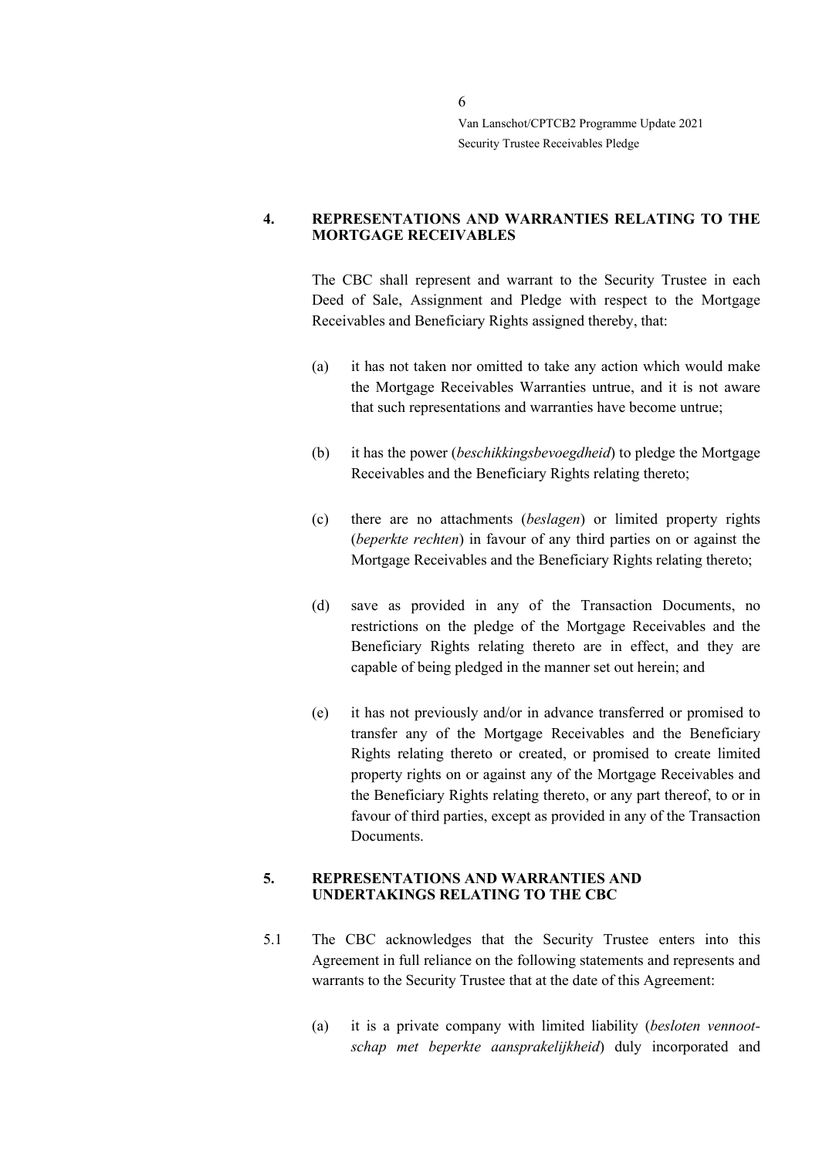#### <span id="page-5-0"></span>**4. REPRESENTATIONS AND WARRANTIES RELATING TO THE MORTGAGE RECEIVABLES**

The CBC shall represent and warrant to the Security Trustee in each Deed of Sale, Assignment and Pledge with respect to the Mortgage Receivables and Beneficiary Rights assigned thereby, that:

- (a) it has not taken nor omitted to take any action which would make the Mortgage Receivables Warranties untrue, and it is not aware that such representations and warranties have become untrue;
- (b) it has the power (*beschikkingsbevoegdheid*) to pledge the Mortgage Receivables and the Beneficiary Rights relating thereto;
- (c) there are no attachments (*beslagen*) or limited property rights (*beperkte rechten*) in favour of any third parties on or against the Mortgage Receivables and the Beneficiary Rights relating thereto;
- (d) save as provided in any of the Transaction Documents, no restrictions on the pledge of the Mortgage Receivables and the Beneficiary Rights relating thereto are in effect, and they are capable of being pledged in the manner set out herein; and
- (e) it has not previously and/or in advance transferred or promised to transfer any of the Mortgage Receivables and the Beneficiary Rights relating thereto or created, or promised to create limited property rights on or against any of the Mortgage Receivables and the Beneficiary Rights relating thereto, or any part thereof, to or in favour of third parties, except as provided in any of the Transaction Documents.

#### <span id="page-5-1"></span>**5. REPRESENTATIONS AND WARRANTIES AND UNDERTAKINGS RELATING TO THE CBC**

- 5.1 The CBC acknowledges that the Security Trustee enters into this Agreement in full reliance on the following statements and represents and warrants to the Security Trustee that at the date of this Agreement:
	- (a) it is a private company with limited liability (*besloten vennootschap met beperkte aansprakelijkheid*) duly incorporated and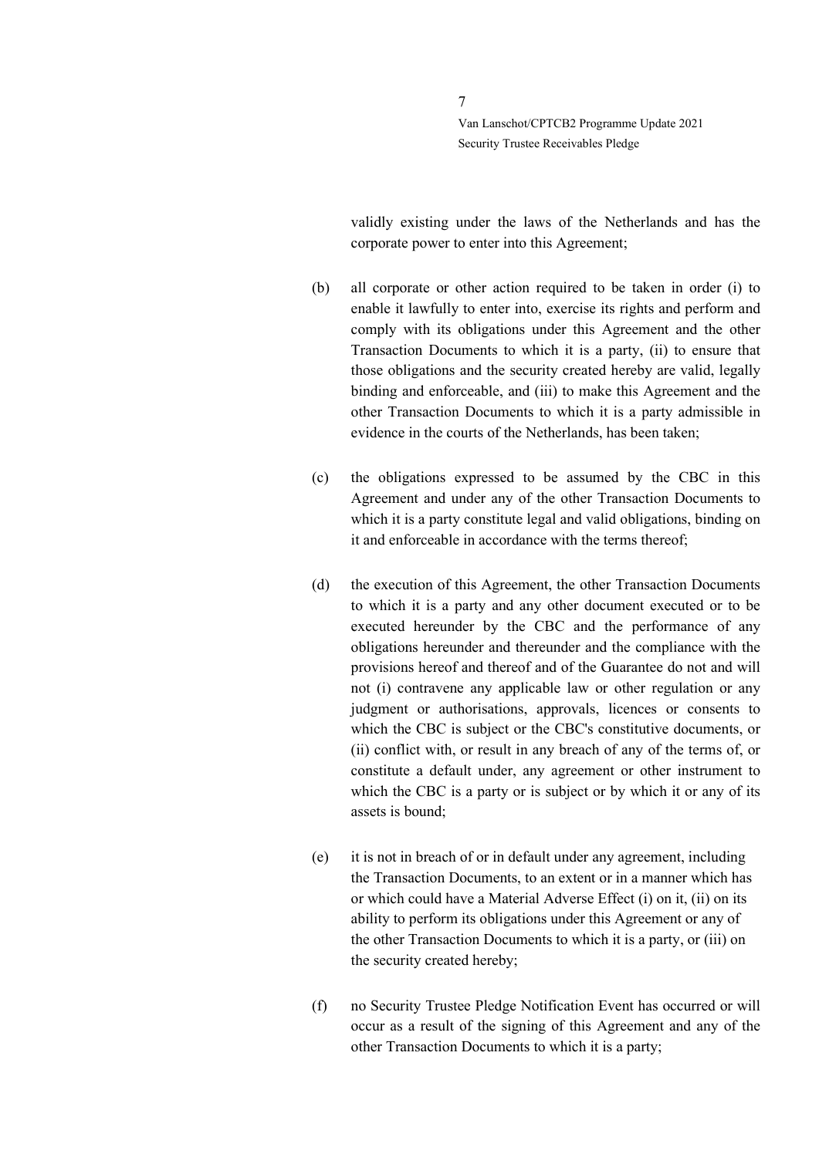validly existing under the laws of the Netherlands and has the corporate power to enter into this Agreement;

- (b) all corporate or other action required to be taken in order (i) to enable it lawfully to enter into, exercise its rights and perform and comply with its obligations under this Agreement and the other Transaction Documents to which it is a party, (ii) to ensure that those obligations and the security created hereby are valid, legally binding and enforceable, and (iii) to make this Agreement and the other Transaction Documents to which it is a party admissible in evidence in the courts of the Netherlands, has been taken;
- (c) the obligations expressed to be assumed by the CBC in this Agreement and under any of the other Transaction Documents to which it is a party constitute legal and valid obligations, binding on it and enforceable in accordance with the terms thereof;
- (d) the execution of this Agreement, the other Transaction Documents to which it is a party and any other document executed or to be executed hereunder by the CBC and the performance of any obligations hereunder and thereunder and the compliance with the provisions hereof and thereof and of the Guarantee do not and will not (i) contravene any applicable law or other regulation or any judgment or authorisations, approvals, licences or consents to which the CBC is subject or the CBC's constitutive documents, or (ii) conflict with, or result in any breach of any of the terms of, or constitute a default under, any agreement or other instrument to which the CBC is a party or is subject or by which it or any of its assets is bound;
- (e) it is not in breach of or in default under any agreement, including the Transaction Documents, to an extent or in a manner which has or which could have a Material Adverse Effect (i) on it, (ii) on its ability to perform its obligations under this Agreement or any of the other Transaction Documents to which it is a party, or (iii) on the security created hereby;
- (f) no Security Trustee Pledge Notification Event has occurred or will occur as a result of the signing of this Agreement and any of the other Transaction Documents to which it is a party;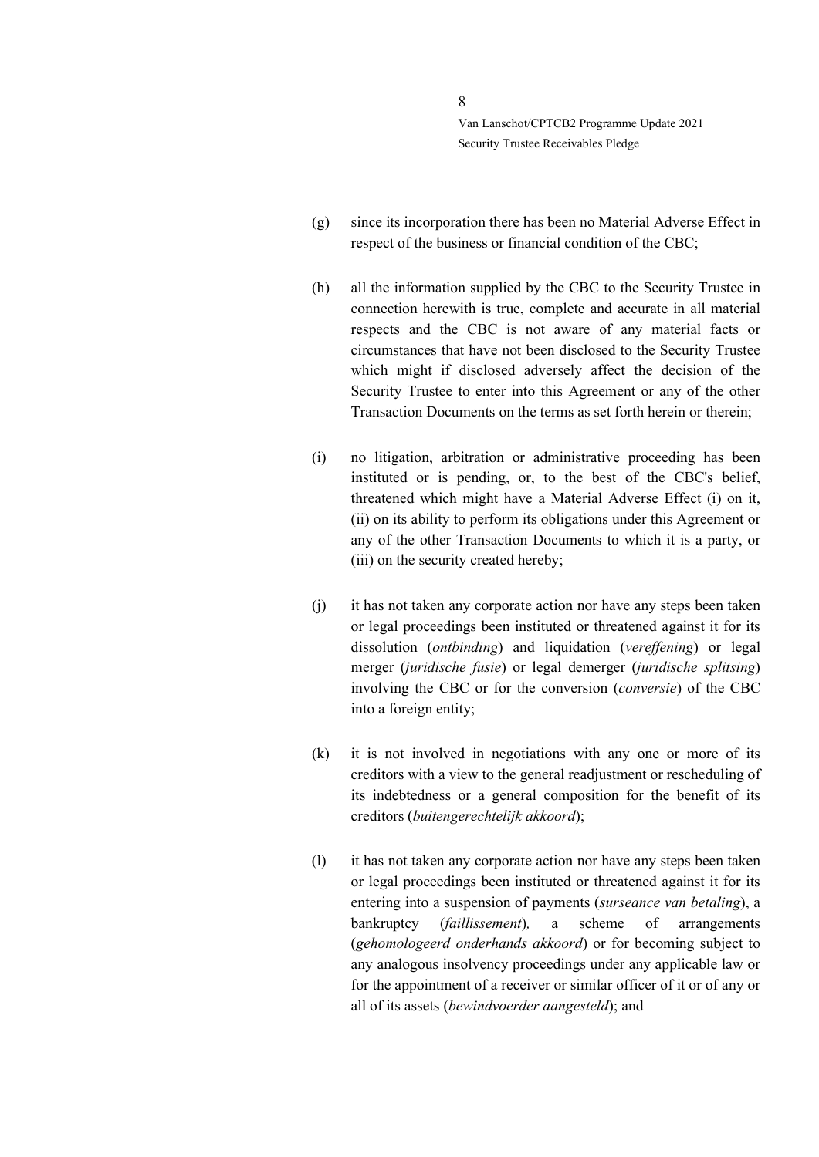- (g) since its incorporation there has been no Material Adverse Effect in respect of the business or financial condition of the CBC;
- (h) all the information supplied by the CBC to the Security Trustee in connection herewith is true, complete and accurate in all material respects and the CBC is not aware of any material facts or circumstances that have not been disclosed to the Security Trustee which might if disclosed adversely affect the decision of the Security Trustee to enter into this Agreement or any of the other Transaction Documents on the terms as set forth herein or therein;
- (i) no litigation, arbitration or administrative proceeding has been instituted or is pending, or, to the best of the CBC's belief, threatened which might have a Material Adverse Effect (i) on it, (ii) on its ability to perform its obligations under this Agreement or any of the other Transaction Documents to which it is a party, or (iii) on the security created hereby;
- (j) it has not taken any corporate action nor have any steps been taken or legal proceedings been instituted or threatened against it for its dissolution (*ontbinding*) and liquidation (*vereffening*) or legal merger (*juridische fusie*) or legal demerger (*juridische splitsing*) involving the CBC or for the conversion (*conversie*) of the CBC into a foreign entity;
- (k) it is not involved in negotiations with any one or more of its creditors with a view to the general readjustment or rescheduling of its indebtedness or a general composition for the benefit of its creditors (*buitengerechtelijk akkoord*);
- (l) it has not taken any corporate action nor have any steps been taken or legal proceedings been instituted or threatened against it for its entering into a suspension of payments (*surseance van betaling*), a bankruptcy (*faillissement*)*,* a scheme of arrangements (*gehomologeerd onderhands akkoord*) or for becoming subject to any analogous insolvency proceedings under any applicable law or for the appointment of a receiver or similar officer of it or of any or all of its assets (*bewindvoerder aangesteld*); and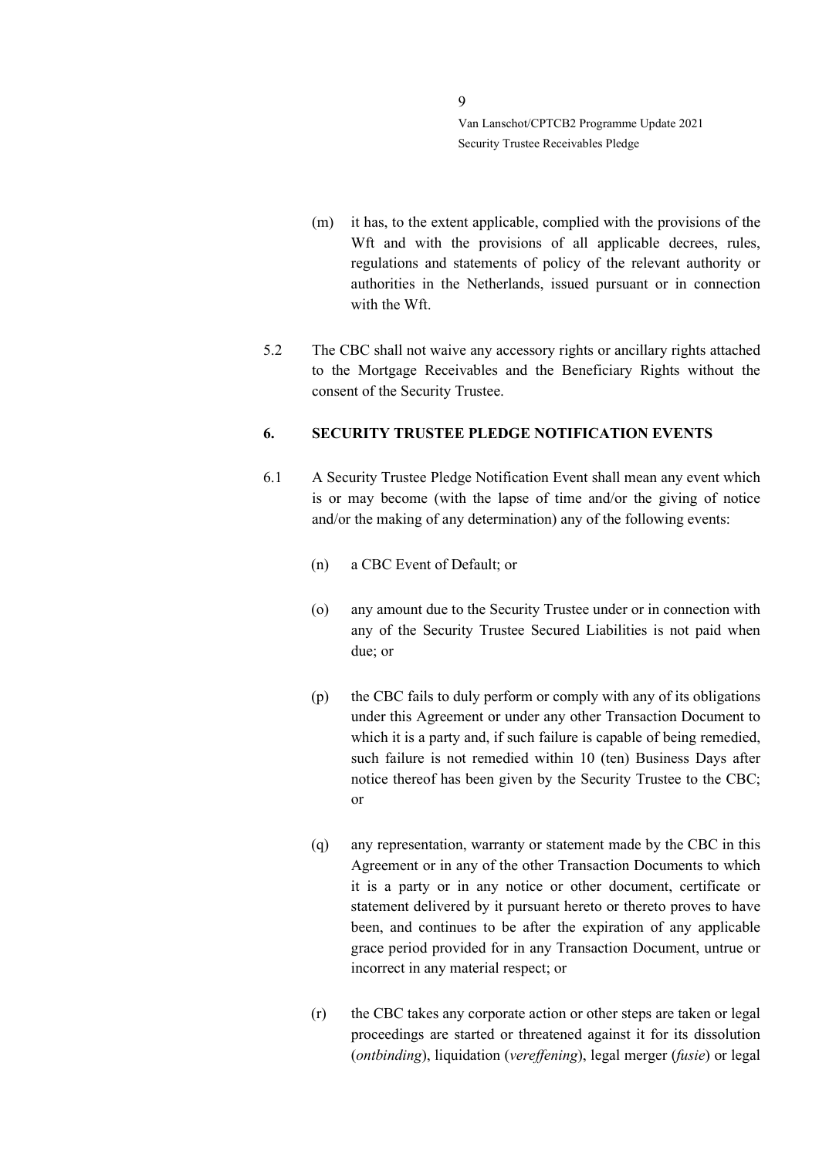- (m) it has, to the extent applicable, complied with the provisions of the Wft and with the provisions of all applicable decrees, rules, regulations and statements of policy of the relevant authority or authorities in the Netherlands, issued pursuant or in connection with the Wft.
- 5.2 The CBC shall not waive any accessory rights or ancillary rights attached to the Mortgage Receivables and the Beneficiary Rights without the consent of the Security Trustee.

#### <span id="page-8-0"></span>**6. SECURITY TRUSTEE PLEDGE NOTIFICATION EVENTS**

- 6.1 A Security Trustee Pledge Notification Event shall mean any event which is or may become (with the lapse of time and/or the giving of notice and/or the making of any determination) any of the following events:
	- (n) a CBC Event of Default; or
	- (o) any amount due to the Security Trustee under or in connection with any of the Security Trustee Secured Liabilities is not paid when due; or
	- (p) the CBC fails to duly perform or comply with any of its obligations under this Agreement or under any other Transaction Document to which it is a party and, if such failure is capable of being remedied, such failure is not remedied within 10 (ten) Business Days after notice thereof has been given by the Security Trustee to the CBC; or
	- (q) any representation, warranty or statement made by the CBC in this Agreement or in any of the other Transaction Documents to which it is a party or in any notice or other document, certificate or statement delivered by it pursuant hereto or thereto proves to have been, and continues to be after the expiration of any applicable grace period provided for in any Transaction Document, untrue or incorrect in any material respect; or
	- (r) the CBC takes any corporate action or other steps are taken or legal proceedings are started or threatened against it for its dissolution (*ontbinding*), liquidation (*vereffening*), legal merger (*fusie*) or legal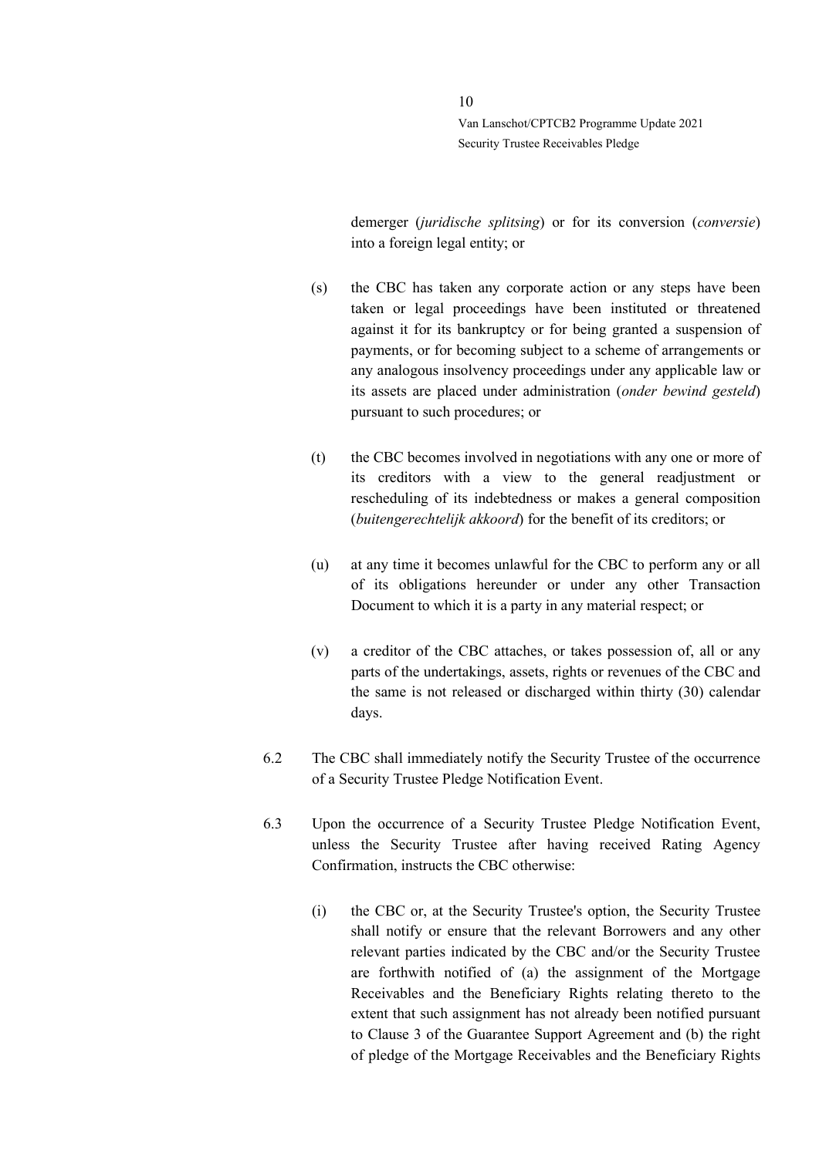demerger (*juridische splitsing*) or for its conversion (*conversie*) into a foreign legal entity; or

- (s) the CBC has taken any corporate action or any steps have been taken or legal proceedings have been instituted or threatened against it for its bankruptcy or for being granted a suspension of payments, or for becoming subject to a scheme of arrangements or any analogous insolvency proceedings under any applicable law or its assets are placed under administration (*onder bewind gesteld*) pursuant to such procedures; or
- (t) the CBC becomes involved in negotiations with any one or more of its creditors with a view to the general readjustment or rescheduling of its indebtedness or makes a general composition (*buitengerechtelijk akkoord*) for the benefit of its creditors; or
- (u) at any time it becomes unlawful for the CBC to perform any or all of its obligations hereunder or under any other Transaction Document to which it is a party in any material respect; or
- (v) a creditor of the CBC attaches, or takes possession of, all or any parts of the undertakings, assets, rights or revenues of the CBC and the same is not released or discharged within thirty (30) calendar days.
- 6.2 The CBC shall immediately notify the Security Trustee of the occurrence of a Security Trustee Pledge Notification Event.
- 6.3 Upon the occurrence of a Security Trustee Pledge Notification Event, unless the Security Trustee after having received Rating Agency Confirmation, instructs the CBC otherwise:
	- (i) the CBC or, at the Security Trustee's option, the Security Trustee shall notify or ensure that the relevant Borrowers and any other relevant parties indicated by the CBC and/or the Security Trustee are forthwith notified of (a) the assignment of the Mortgage Receivables and the Beneficiary Rights relating thereto to the extent that such assignment has not already been notified pursuant to Clause 3 of the Guarantee Support Agreement and (b) the right of pledge of the Mortgage Receivables and the Beneficiary Rights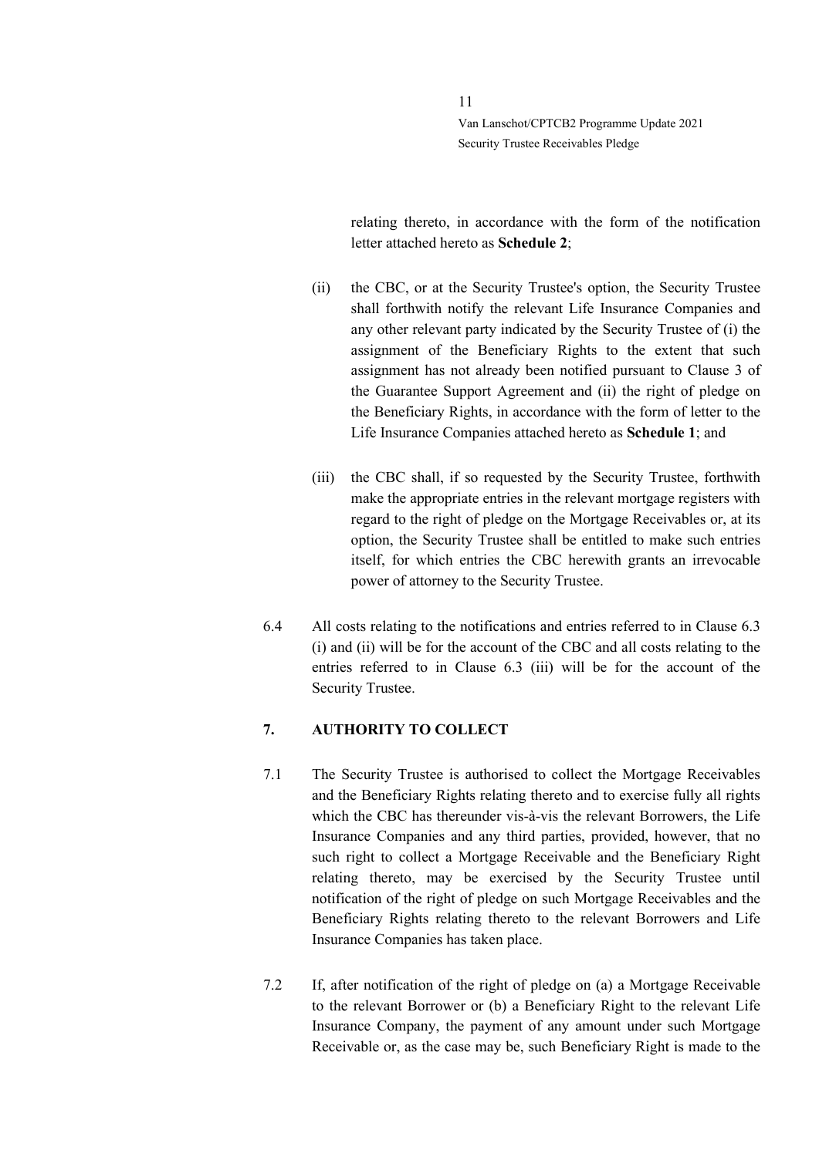relating thereto, in accordance with the form of the notification letter attached hereto as **Schedule 2**;

- (ii) the CBC, or at the Security Trustee's option, the Security Trustee shall forthwith notify the relevant Life Insurance Companies and any other relevant party indicated by the Security Trustee of (i) the assignment of the Beneficiary Rights to the extent that such assignment has not already been notified pursuant to Clause 3 of the Guarantee Support Agreement and (ii) the right of pledge on the Beneficiary Rights, in accordance with the form of letter to the Life Insurance Companies attached hereto as **Schedule 1**; and
- (iii) the CBC shall, if so requested by the Security Trustee, forthwith make the appropriate entries in the relevant mortgage registers with regard to the right of pledge on the Mortgage Receivables or, at its option, the Security Trustee shall be entitled to make such entries itself, for which entries the CBC herewith grants an irrevocable power of attorney to the Security Trustee.
- 6.4 All costs relating to the notifications and entries referred to in Clause 6.3 (i) and (ii) will be for the account of the CBC and all costs relating to the entries referred to in Clause 6.3 (iii) will be for the account of the Security Trustee.

#### <span id="page-10-0"></span>**7. AUTHORITY TO COLLECT**

- 7.1 The Security Trustee is authorised to collect the Mortgage Receivables and the Beneficiary Rights relating thereto and to exercise fully all rights which the CBC has thereunder vis-à-vis the relevant Borrowers, the Life Insurance Companies and any third parties, provided, however, that no such right to collect a Mortgage Receivable and the Beneficiary Right relating thereto, may be exercised by the Security Trustee until notification of the right of pledge on such Mortgage Receivables and the Beneficiary Rights relating thereto to the relevant Borrowers and Life Insurance Companies has taken place.
- 7.2 If, after notification of the right of pledge on (a) a Mortgage Receivable to the relevant Borrower or (b) a Beneficiary Right to the relevant Life Insurance Company, the payment of any amount under such Mortgage Receivable or, as the case may be, such Beneficiary Right is made to the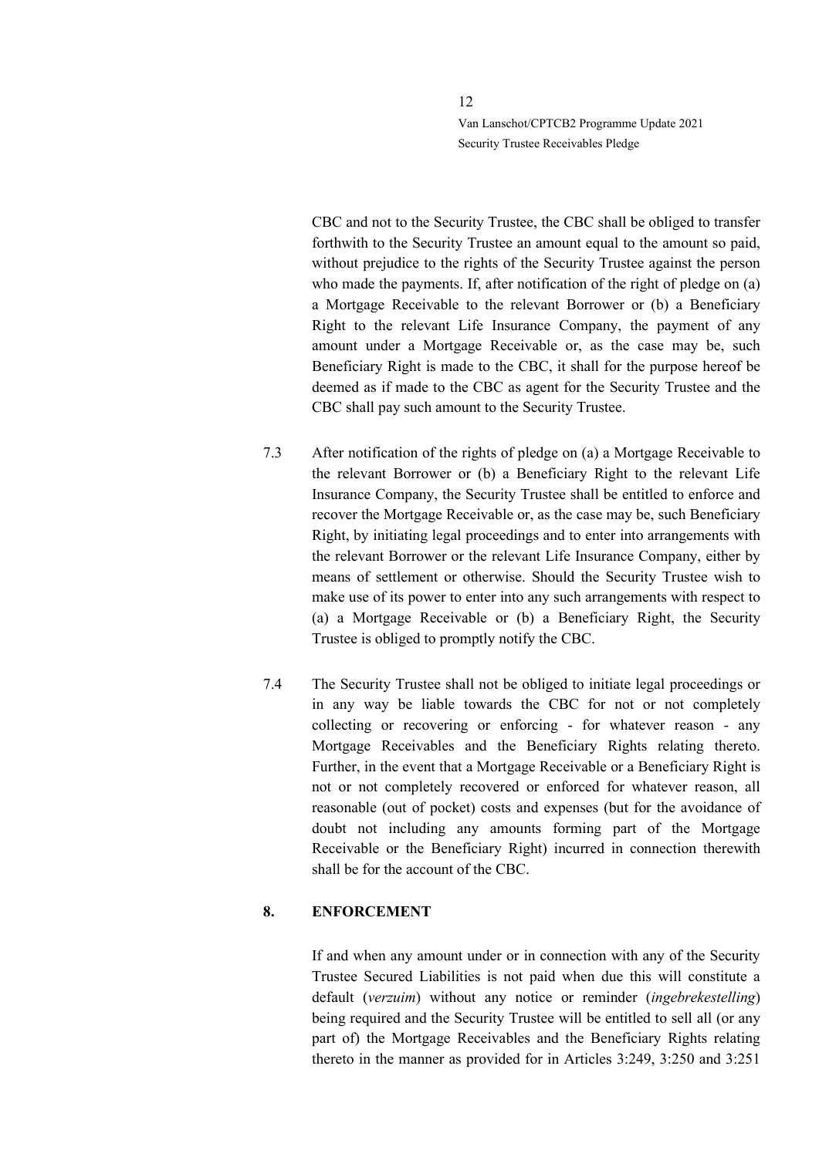CBC and not to the Security Trustee, the CBC shall be obliged to transfer forthwith to the Security Trustee an amount equal to the amount so paid, without prejudice to the rights of the Security Trustee against the person who made the payments. If, after notification of the right of pledge on (a) a Mortgage Receivable to the relevant Borrower or (b) a Beneficiary Right to the relevant Life Insurance Company, the payment of any amount under a Mortgage Receivable or, as the case may be, such Beneficiary Right is made to the CBC, it shall for the purpose hereof be deemed as if made to the CBC as agent for the Security Trustee and the CBC shall pay such amount to the Security Trustee.

- 7.3 After notification of the rights of pledge on (a) a Mortgage Receivable to the relevant Borrower or (b) a Beneficiary Right to the relevant Life Insurance Company, the Security Trustee shall be entitled to enforce and recover the Mortgage Receivable or, as the case may be, such Beneficiary Right, by initiating legal proceedings and to enter into arrangements with the relevant Borrower or the relevant Life Insurance Company, either by means of settlement or otherwise. Should the Security Trustee wish to make use of its power to enter into any such arrangements with respect to (a) a Mortgage Receivable or (b) a Beneficiary Right, the Security Trustee is obliged to promptly notify the CBC.
- 7.4 The Security Trustee shall not be obliged to initiate legal proceedings or in any way be liable towards the CBC for not or not completely collecting or recovering or enforcing - for whatever reason - any Mortgage Receivables and the Beneficiary Rights relating thereto. Further, in the event that a Mortgage Receivable or a Beneficiary Right is not or not completely recovered or enforced for whatever reason, all reasonable (out of pocket) costs and expenses (but for the avoidance of doubt not including any amounts forming part of the Mortgage Receivable or the Beneficiary Right) incurred in connection therewith shall be for the account of the CBC.

### <span id="page-11-0"></span>**8. ENFORCEMENT**

If and when any amount under or in connection with any of the Security Trustee Secured Liabilities is not paid when due this will constitute a default (*verzuim*) without any notice or reminder (*ingebrekestelling*) being required and the Security Trustee will be entitled to sell all (or any part of) the Mortgage Receivables and the Beneficiary Rights relating thereto in the manner as provided for in Articles 3:249, 3:250 and 3:251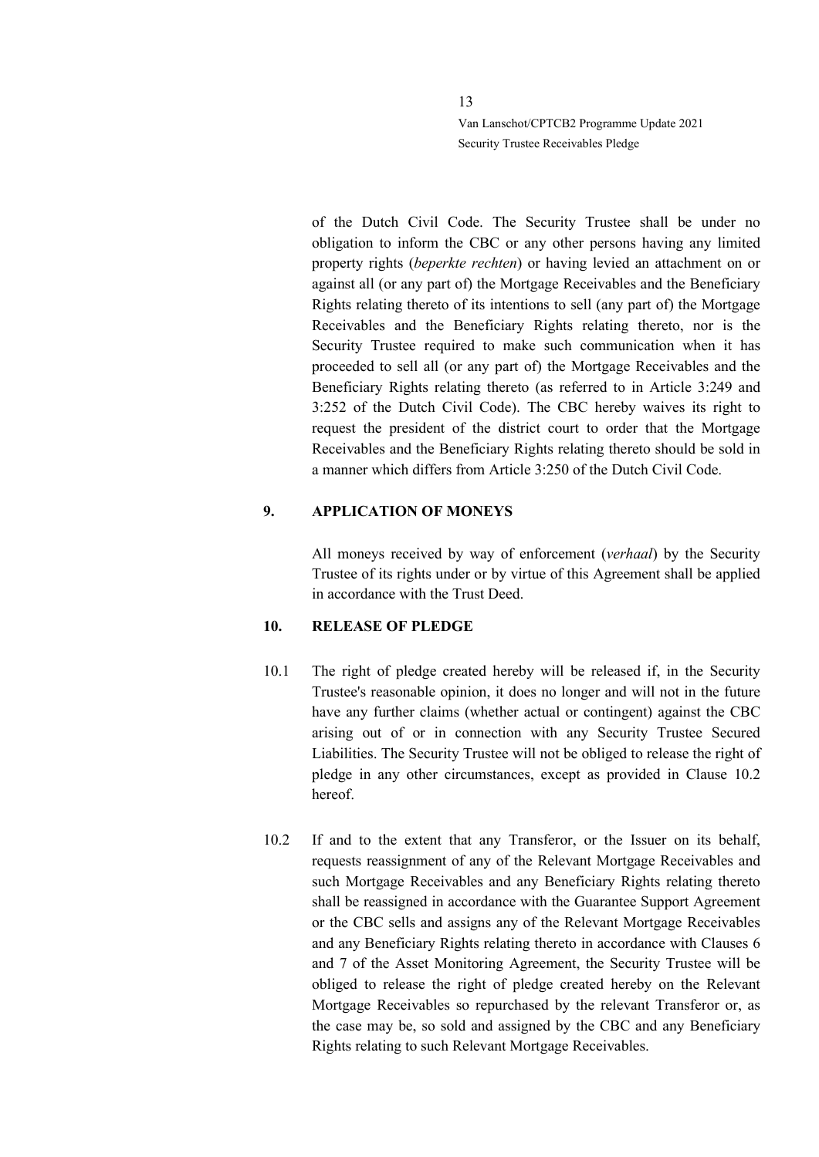of the Dutch Civil Code. The Security Trustee shall be under no obligation to inform the CBC or any other persons having any limited property rights (*beperkte rechten*) or having levied an attachment on or against all (or any part of) the Mortgage Receivables and the Beneficiary Rights relating thereto of its intentions to sell (any part of) the Mortgage Receivables and the Beneficiary Rights relating thereto, nor is the Security Trustee required to make such communication when it has proceeded to sell all (or any part of) the Mortgage Receivables and the Beneficiary Rights relating thereto (as referred to in Article 3:249 and 3:252 of the Dutch Civil Code). The CBC hereby waives its right to request the president of the district court to order that the Mortgage Receivables and the Beneficiary Rights relating thereto should be sold in a manner which differs from Article 3:250 of the Dutch Civil Code.

#### <span id="page-12-0"></span>**9. APPLICATION OF MONEYS**

All moneys received by way of enforcement (*verhaal*) by the Security Trustee of its rights under or by virtue of this Agreement shall be applied in accordance with the Trust Deed.

#### <span id="page-12-1"></span>**10. RELEASE OF PLEDGE**

- 10.1 The right of pledge created hereby will be released if, in the Security Trustee's reasonable opinion, it does no longer and will not in the future have any further claims (whether actual or contingent) against the CBC arising out of or in connection with any Security Trustee Secured Liabilities. The Security Trustee will not be obliged to release the right of pledge in any other circumstances, except as provided in Clause [10.2](#page-12-2) hereof.
- <span id="page-12-2"></span>10.2 If and to the extent that any Transferor, or the Issuer on its behalf, requests reassignment of any of the Relevant Mortgage Receivables and such Mortgage Receivables and any Beneficiary Rights relating thereto shall be reassigned in accordance with the Guarantee Support Agreement or the CBC sells and assigns any of the Relevant Mortgage Receivables and any Beneficiary Rights relating thereto in accordance with Clauses 6 and 7 of the Asset Monitoring Agreement, the Security Trustee will be obliged to release the right of pledge created hereby on the Relevant Mortgage Receivables so repurchased by the relevant Transferor or, as the case may be, so sold and assigned by the CBC and any Beneficiary Rights relating to such Relevant Mortgage Receivables.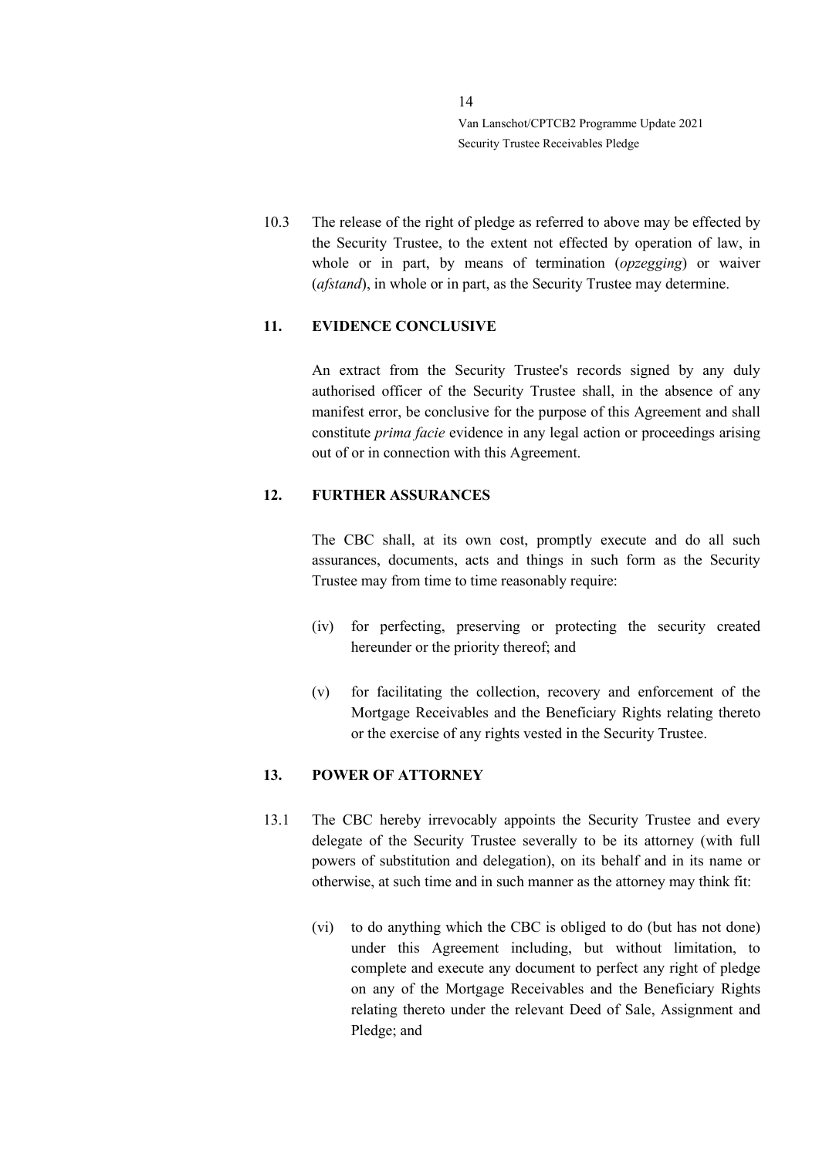10.3 The release of the right of pledge as referred to above may be effected by the Security Trustee, to the extent not effected by operation of law, in whole or in part, by means of termination (*opzegging*) or waiver (*afstand*), in whole or in part, as the Security Trustee may determine.

## <span id="page-13-0"></span>**11. EVIDENCE CONCLUSIVE**

An extract from the Security Trustee's records signed by any duly authorised officer of the Security Trustee shall, in the absence of any manifest error, be conclusive for the purpose of this Agreement and shall constitute *prima facie* evidence in any legal action or proceedings arising out of or in connection with this Agreement.

#### <span id="page-13-1"></span>**12. FURTHER ASSURANCES**

The CBC shall, at its own cost, promptly execute and do all such assurances, documents, acts and things in such form as the Security Trustee may from time to time reasonably require:

- (iv) for perfecting, preserving or protecting the security created hereunder or the priority thereof; and
- (v) for facilitating the collection, recovery and enforcement of the Mortgage Receivables and the Beneficiary Rights relating thereto or the exercise of any rights vested in the Security Trustee.

#### <span id="page-13-2"></span>**13. POWER OF ATTORNEY**

- <span id="page-13-3"></span>13.1 The CBC hereby irrevocably appoints the Security Trustee and every delegate of the Security Trustee severally to be its attorney (with full powers of substitution and delegation), on its behalf and in its name or otherwise, at such time and in such manner as the attorney may think fit:
	- (vi) to do anything which the CBC is obliged to do (but has not done) under this Agreement including, but without limitation, to complete and execute any document to perfect any right of pledge on any of the Mortgage Receivables and the Beneficiary Rights relating thereto under the relevant Deed of Sale, Assignment and Pledge; and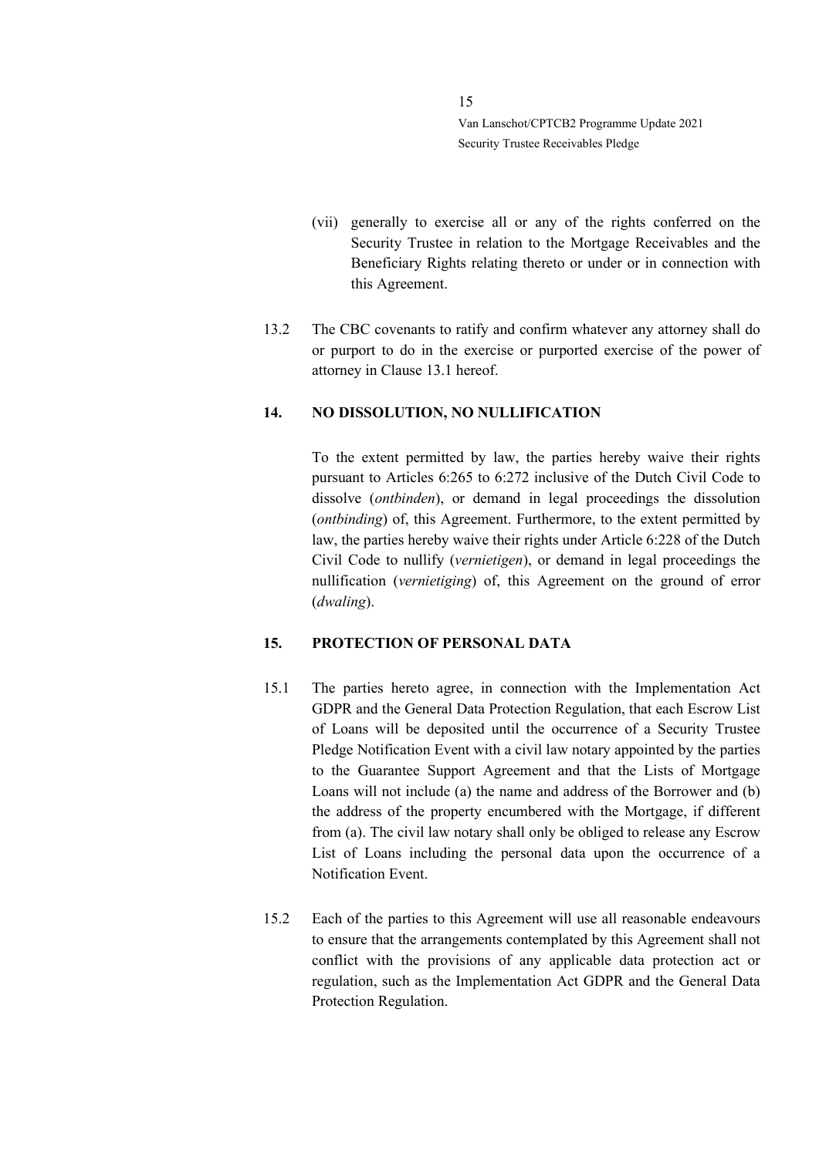- (vii) generally to exercise all or any of the rights conferred on the Security Trustee in relation to the Mortgage Receivables and the Beneficiary Rights relating thereto or under or in connection with this Agreement.
- 13.2 The CBC covenants to ratify and confirm whatever any attorney shall do or purport to do in the exercise or purported exercise of the power of attorney in Clause [13.1](#page-13-3) hereof.

#### <span id="page-14-0"></span>**14. NO DISSOLUTION, NO NULLIFICATION**

To the extent permitted by law, the parties hereby waive their rights pursuant to Articles 6:265 to 6:272 inclusive of the Dutch Civil Code to dissolve (*ontbinden*), or demand in legal proceedings the dissolution (*ontbinding*) of, this Agreement. Furthermore, to the extent permitted by law, the parties hereby waive their rights under Article 6:228 of the Dutch Civil Code to nullify (*vernietigen*), or demand in legal proceedings the nullification (*vernietiging*) of, this Agreement on the ground of error (*dwaling*).

### <span id="page-14-1"></span>**15. PROTECTION OF PERSONAL DATA**

- 15.1 The parties hereto agree, in connection with the Implementation Act GDPR and the General Data Protection Regulation, that each Escrow List of Loans will be deposited until the occurrence of a Security Trustee Pledge Notification Event with a civil law notary appointed by the parties to the Guarantee Support Agreement and that the Lists of Mortgage Loans will not include (a) the name and address of the Borrower and (b) the address of the property encumbered with the Mortgage, if different from (a). The civil law notary shall only be obliged to release any Escrow List of Loans including the personal data upon the occurrence of a Notification Event.
- 15.2 Each of the parties to this Agreement will use all reasonable endeavours to ensure that the arrangements contemplated by this Agreement shall not conflict with the provisions of any applicable data protection act or regulation, such as the Implementation Act GDPR and the General Data Protection Regulation.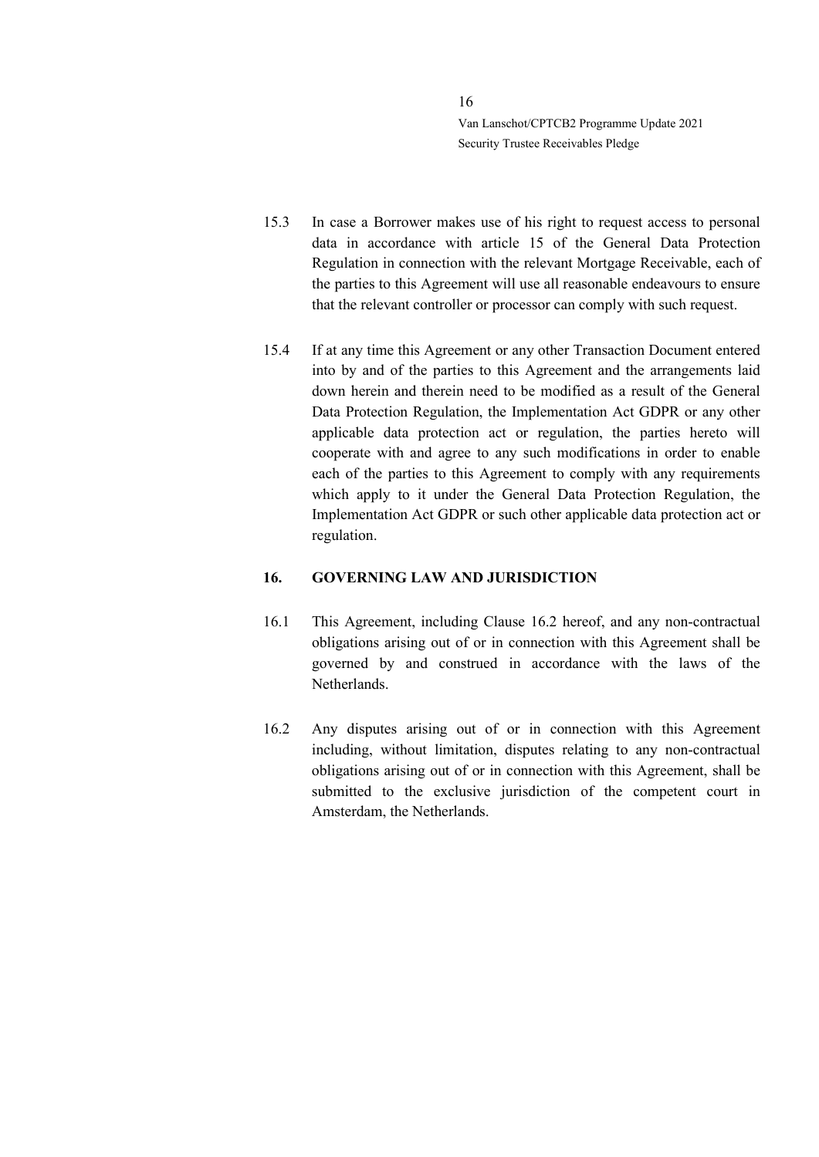- 15.3 In case a Borrower makes use of his right to request access to personal data in accordance with article 15 of the General Data Protection Regulation in connection with the relevant Mortgage Receivable, each of the parties to this Agreement will use all reasonable endeavours to ensure that the relevant controller or processor can comply with such request.
- 15.4 If at any time this Agreement or any other Transaction Document entered into by and of the parties to this Agreement and the arrangements laid down herein and therein need to be modified as a result of the General Data Protection Regulation, the Implementation Act GDPR or any other applicable data protection act or regulation, the parties hereto will cooperate with and agree to any such modifications in order to enable each of the parties to this Agreement to comply with any requirements which apply to it under the General Data Protection Regulation, the Implementation Act GDPR or such other applicable data protection act or regulation.

#### <span id="page-15-0"></span>**16. GOVERNING LAW AND JURISDICTION**

- 16.1 This Agreement, including Clause [16.2](#page-15-1) hereof, and any non-contractual obligations arising out of or in connection with this Agreement shall be governed by and construed in accordance with the laws of the Netherlands.
- <span id="page-15-1"></span>16.2 Any disputes arising out of or in connection with this Agreement including, without limitation, disputes relating to any non-contractual obligations arising out of or in connection with this Agreement, shall be submitted to the exclusive jurisdiction of the competent court in Amsterdam, the Netherlands.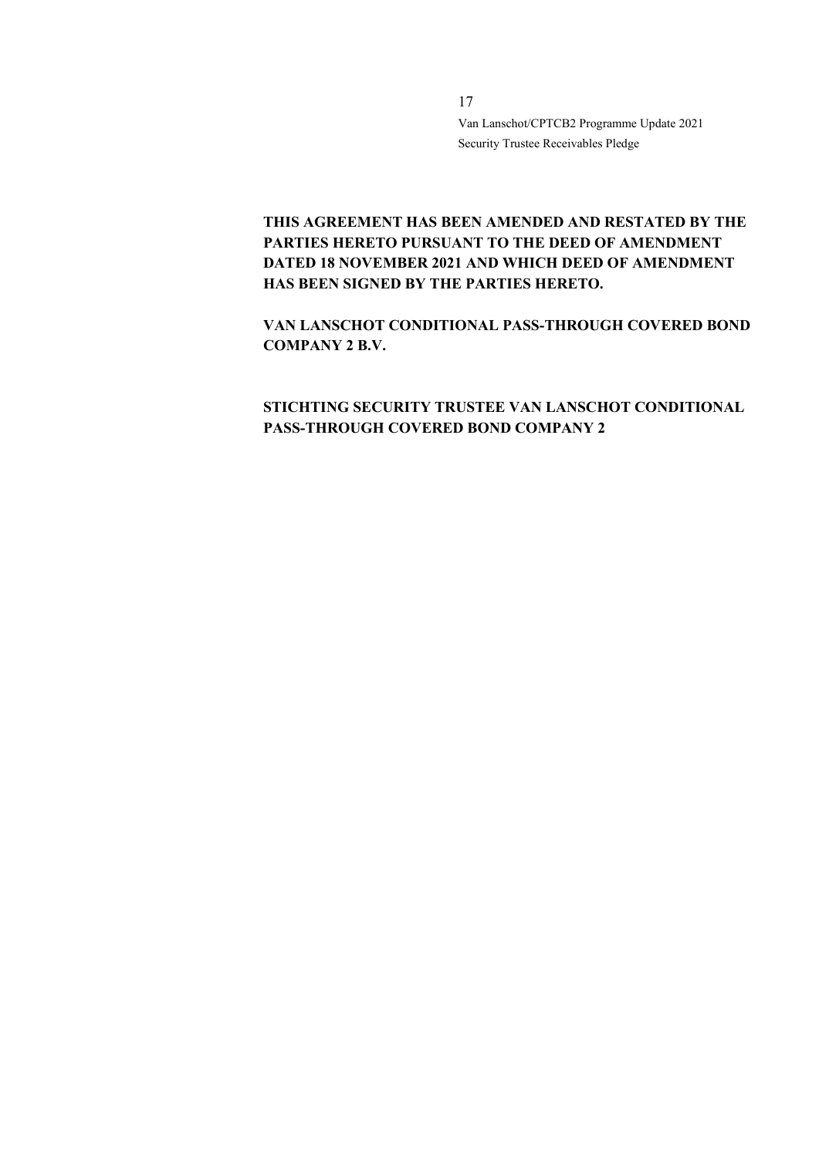# **THIS AGREEMENT HAS BEEN AMENDED AND RESTATED BY THE PARTIES HERETO PURSUANT TO THE DEED OF AMENDMENT DATED 18 NOVEMBER 2021 AND WHICH DEED OF AMENDMENT HAS BEEN SIGNED BY THE PARTIES HERETO.**

**VAN LANSCHOT CONDITIONAL PASS-THROUGH COVERED BOND COMPANY 2 B.V.**

# **STICHTING SECURITY TRUSTEE VAN LANSCHOT CONDITIONAL PASS-THROUGH COVERED BOND COMPANY 2**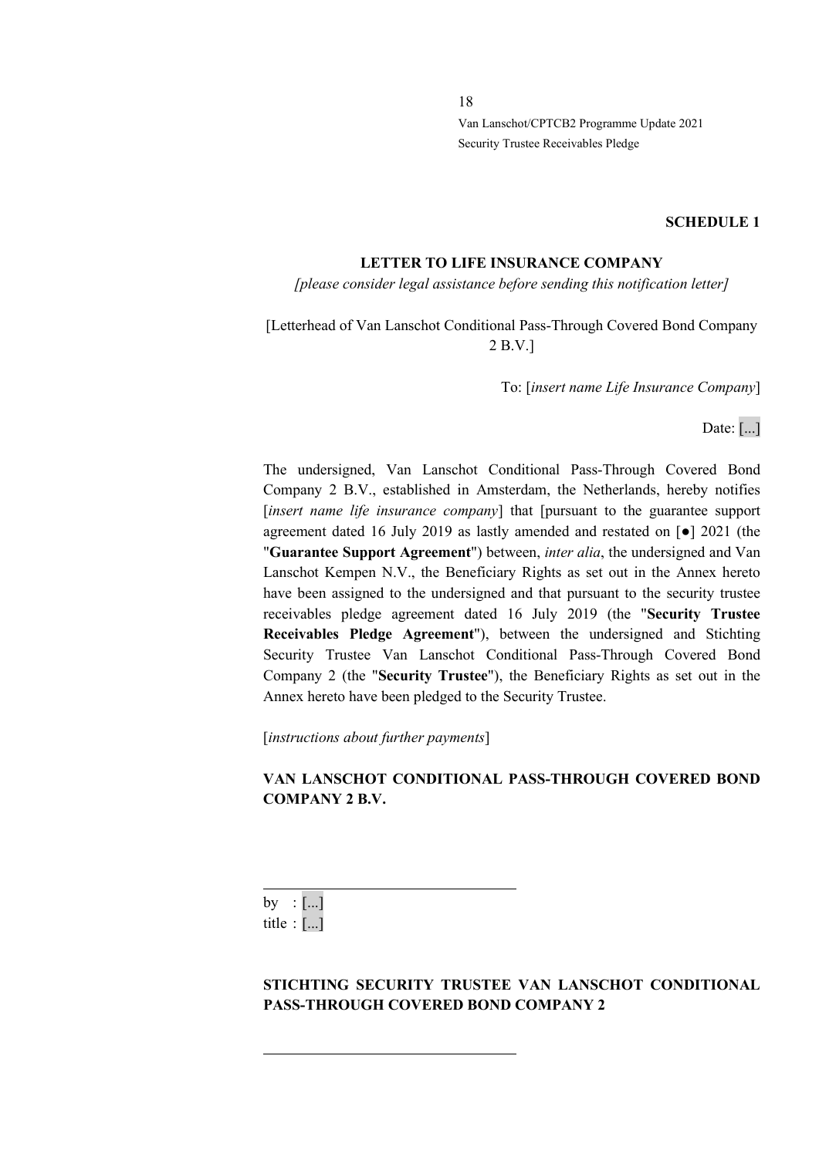#### **SCHEDULE 1**

#### **LETTER TO LIFE INSURANCE COMPANY**

*[please consider legal assistance before sending this notification letter]*

# [Letterhead of Van Lanschot Conditional Pass-Through Covered Bond Company 2 B.V.]

To: [*insert name Life Insurance Company*]

Date: [...]

The undersigned, Van Lanschot Conditional Pass-Through Covered Bond Company 2 B.V., established in Amsterdam, the Netherlands, hereby notifies [*insert name life insurance company*] that [pursuant to the guarantee support agreement dated 16 July 2019 as lastly amended and restated on [●] 2021 (the "**Guarantee Support Agreement**") between, *inter alia*, the undersigned and Van Lanschot Kempen N.V., the Beneficiary Rights as set out in the Annex hereto have been assigned to the undersigned and that pursuant to the security trustee receivables pledge agreement dated 16 July 2019 (the "**Security Trustee Receivables Pledge Agreement**"), between the undersigned and Stichting Security Trustee Van Lanschot Conditional Pass-Through Covered Bond Company 2 (the "**Security Trustee**"), the Beneficiary Rights as set out in the Annex hereto have been pledged to the Security Trustee.

[*instructions about further payments*]

## **VAN LANSCHOT CONDITIONAL PASS-THROUGH COVERED BOND COMPANY 2 B.V.**

by : [...] title : [...]

**STICHTING SECURITY TRUSTEE VAN LANSCHOT CONDITIONAL PASS-THROUGH COVERED BOND COMPANY 2**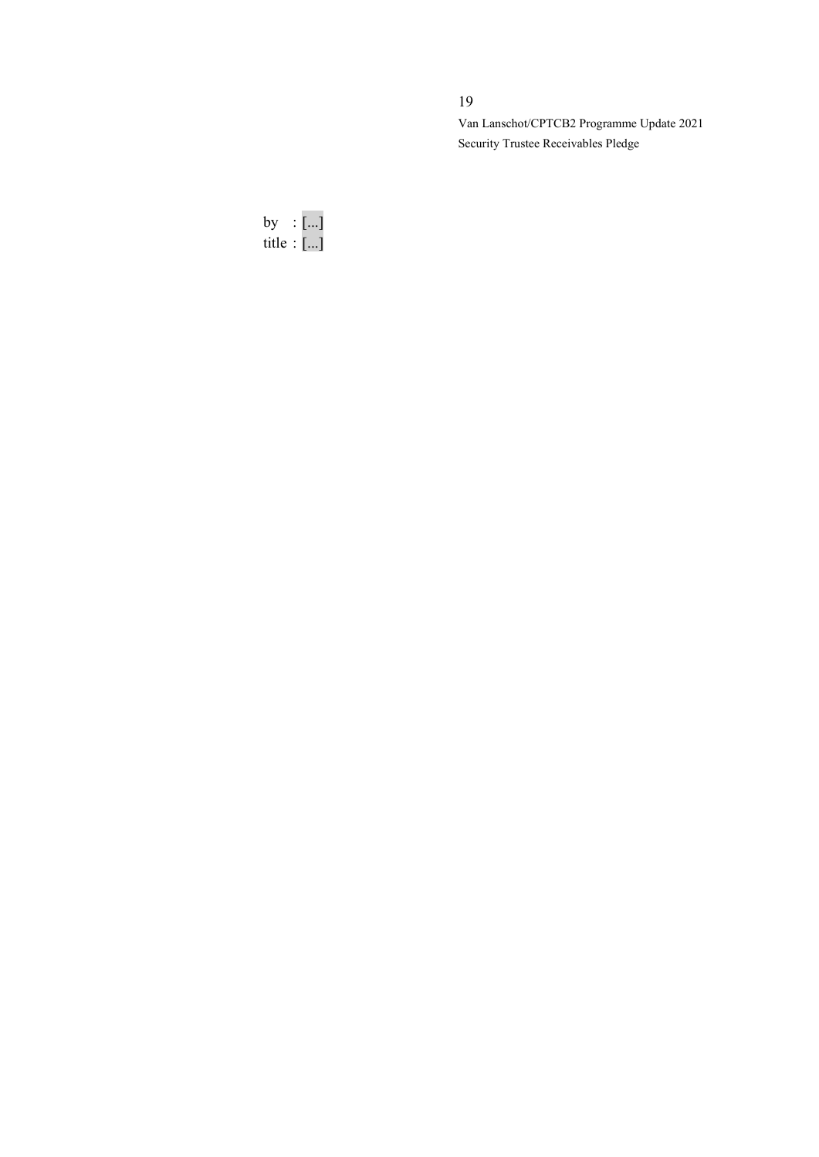# 19

Van Lanschot/CPTCB2 Programme Update 2021 Security Trustee Receivables Pledge

by : [...] title : [...]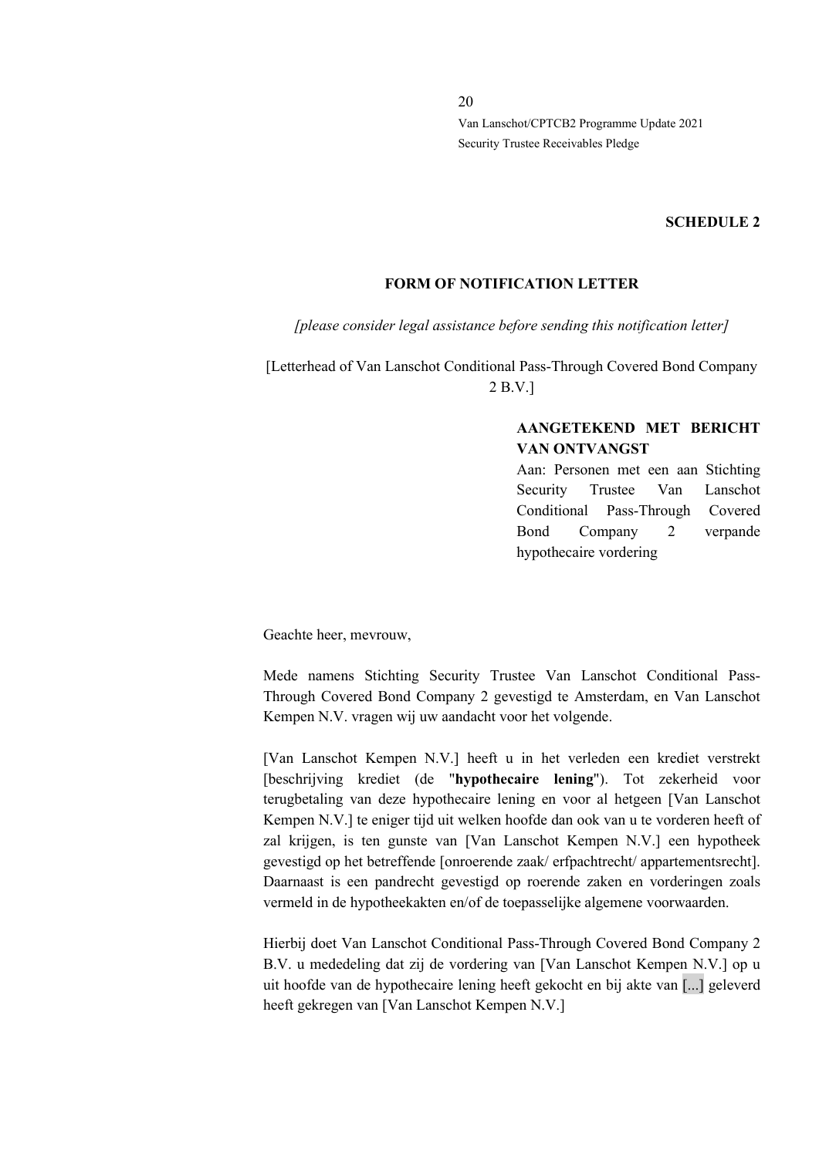#### **SCHEDULE 2**

#### **FORM OF NOTIFICATION LETTER**

*[please consider legal assistance before sending this notification letter]*

[Letterhead of Van Lanschot Conditional Pass-Through Covered Bond Company 2 B.V.]

## **AANGETEKEND MET BERICHT VAN ONTVANGST**

Aan: Personen met een aan Stichting Security Trustee Van Lanschot Conditional Pass-Through Covered Bond Company 2 verpande hypothecaire vordering

Geachte heer, mevrouw,

Mede namens Stichting Security Trustee Van Lanschot Conditional Pass-Through Covered Bond Company 2 gevestigd te Amsterdam, en Van Lanschot Kempen N.V. vragen wij uw aandacht voor het volgende.

[Van Lanschot Kempen N.V.] heeft u in het verleden een krediet verstrekt [beschrijving krediet (de "**hypothecaire lening**"). Tot zekerheid voor terugbetaling van deze hypothecaire lening en voor al hetgeen [Van Lanschot Kempen N.V.] te eniger tijd uit welken hoofde dan ook van u te vorderen heeft of zal krijgen, is ten gunste van [Van Lanschot Kempen N.V.] een hypotheek gevestigd op het betreffende [onroerende zaak/ erfpachtrecht/ appartementsrecht]. Daarnaast is een pandrecht gevestigd op roerende zaken en vorderingen zoals vermeld in de hypotheekakten en/of de toepasselijke algemene voorwaarden.

Hierbij doet Van Lanschot Conditional Pass-Through Covered Bond Company 2 B.V. u mededeling dat zij de vordering van [Van Lanschot Kempen N.V.] op u uit hoofde van de hypothecaire lening heeft gekocht en bij akte van [...] geleverd heeft gekregen van [Van Lanschot Kempen N.V.]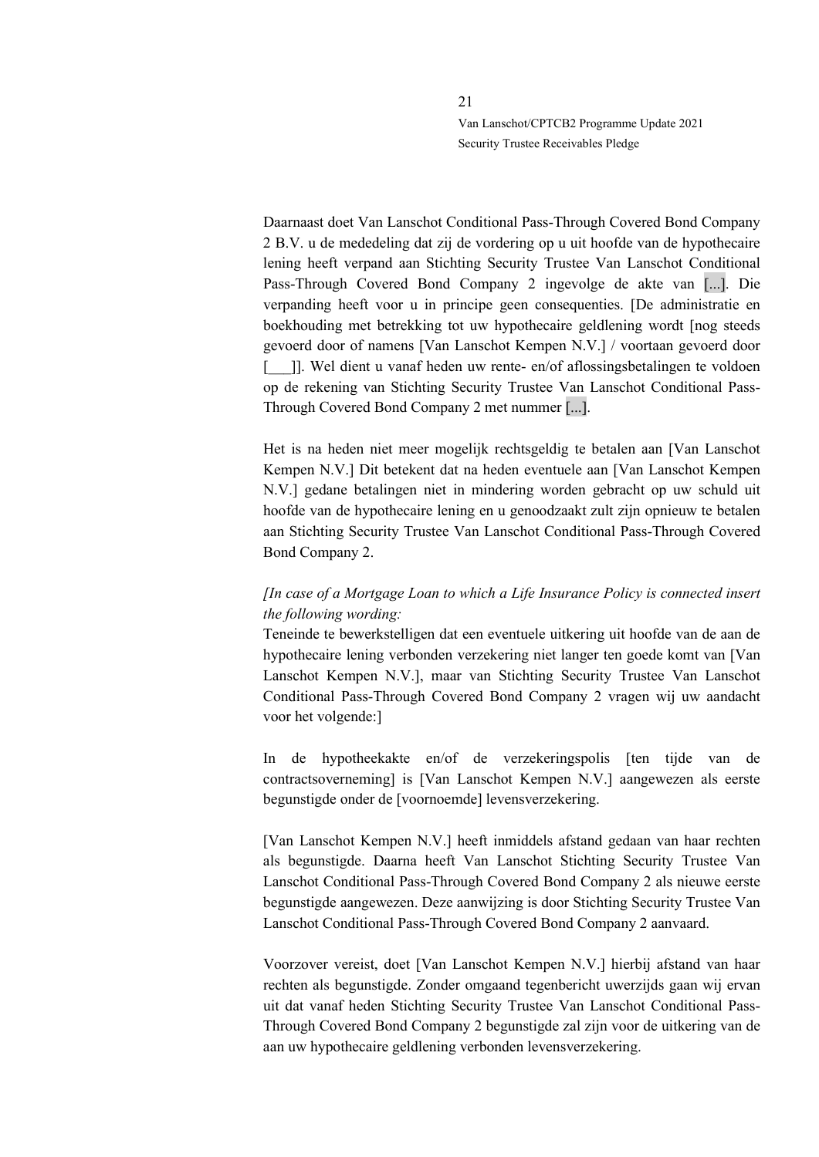Daarnaast doet Van Lanschot Conditional Pass-Through Covered Bond Company 2 B.V. u de mededeling dat zij de vordering op u uit hoofde van de hypothecaire lening heeft verpand aan Stichting Security Trustee Van Lanschot Conditional Pass-Through Covered Bond Company 2 ingevolge de akte van [...]. Die verpanding heeft voor u in principe geen consequenties. [De administratie en boekhouding met betrekking tot uw hypothecaire geldlening wordt [nog steeds gevoerd door of namens [Van Lanschot Kempen N.V.] / voortaan gevoerd door [  $\Box$ ]]. Wel dient u vanaf heden uw rente- en/of aflossingsbetalingen te voldoen op de rekening van Stichting Security Trustee Van Lanschot Conditional Pass-Through Covered Bond Company 2 met nummer [...].

Het is na heden niet meer mogelijk rechtsgeldig te betalen aan [Van Lanschot Kempen N.V.] Dit betekent dat na heden eventuele aan [Van Lanschot Kempen N.V.] gedane betalingen niet in mindering worden gebracht op uw schuld uit hoofde van de hypothecaire lening en u genoodzaakt zult zijn opnieuw te betalen aan Stichting Security Trustee Van Lanschot Conditional Pass-Through Covered Bond Company 2.

## *[In case of a Mortgage Loan to which a Life Insurance Policy is connected insert the following wording:*

Teneinde te bewerkstelligen dat een eventuele uitkering uit hoofde van de aan de hypothecaire lening verbonden verzekering niet langer ten goede komt van [Van Lanschot Kempen N.V.], maar van Stichting Security Trustee Van Lanschot Conditional Pass-Through Covered Bond Company 2 vragen wij uw aandacht voor het volgende:]

In de hypotheekakte en/of de verzekeringspolis [ten tijde van de contractsoverneming] is [Van Lanschot Kempen N.V.] aangewezen als eerste begunstigde onder de [voornoemde] levensverzekering.

[Van Lanschot Kempen N.V.] heeft inmiddels afstand gedaan van haar rechten als begunstigde. Daarna heeft Van Lanschot Stichting Security Trustee Van Lanschot Conditional Pass-Through Covered Bond Company 2 als nieuwe eerste begunstigde aangewezen. Deze aanwijzing is door Stichting Security Trustee Van Lanschot Conditional Pass-Through Covered Bond Company 2 aanvaard.

Voorzover vereist, doet [Van Lanschot Kempen N.V.] hierbij afstand van haar rechten als begunstigde. Zonder omgaand tegenbericht uwerzijds gaan wij ervan uit dat vanaf heden Stichting Security Trustee Van Lanschot Conditional Pass-Through Covered Bond Company 2 begunstigde zal zijn voor de uitkering van de aan uw hypothecaire geldlening verbonden levensverzekering.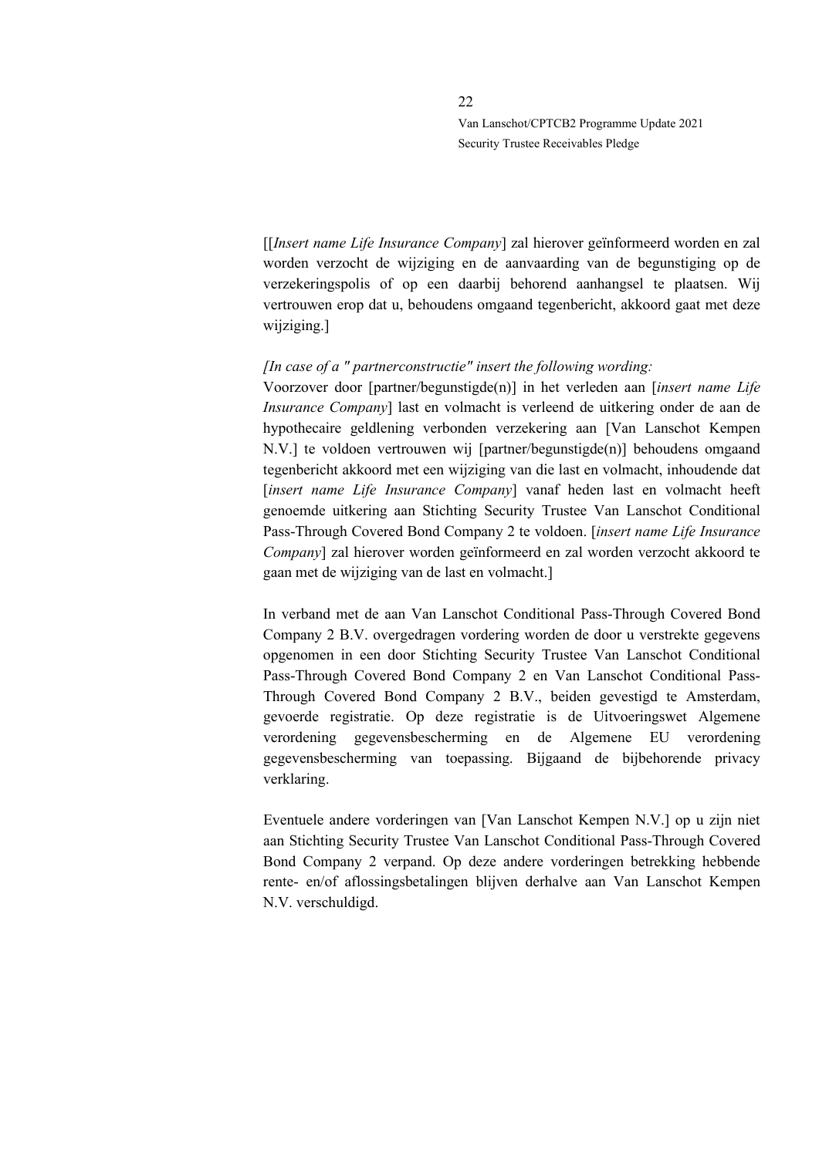[[*Insert name Life Insurance Company*] zal hierover geïnformeerd worden en zal worden verzocht de wijziging en de aanvaarding van de begunstiging op de verzekeringspolis of op een daarbij behorend aanhangsel te plaatsen. Wij vertrouwen erop dat u, behoudens omgaand tegenbericht, akkoord gaat met deze wijziging.]

#### *[In case of a " partnerconstructie" insert the following wording:*

Voorzover door [partner/begunstigde(n)] in het verleden aan [*insert name Life Insurance Company*] last en volmacht is verleend de uitkering onder de aan de hypothecaire geldlening verbonden verzekering aan [Van Lanschot Kempen N.V.] te voldoen vertrouwen wij [partner/begunstigde(n)] behoudens omgaand tegenbericht akkoord met een wijziging van die last en volmacht, inhoudende dat [*insert name Life Insurance Company*] vanaf heden last en volmacht heeft genoemde uitkering aan Stichting Security Trustee Van Lanschot Conditional Pass-Through Covered Bond Company 2 te voldoen. [*insert name Life Insurance Company*] zal hierover worden geïnformeerd en zal worden verzocht akkoord te gaan met de wijziging van de last en volmacht.]

In verband met de aan Van Lanschot Conditional Pass-Through Covered Bond Company 2 B.V. overgedragen vordering worden de door u verstrekte gegevens opgenomen in een door Stichting Security Trustee Van Lanschot Conditional Pass-Through Covered Bond Company 2 en Van Lanschot Conditional Pass-Through Covered Bond Company 2 B.V., beiden gevestigd te Amsterdam, gevoerde registratie. Op deze registratie is de Uitvoeringswet Algemene verordening gegevensbescherming en de Algemene EU verordening gegevensbescherming van toepassing. Bijgaand de bijbehorende privacy verklaring.

Eventuele andere vorderingen van [Van Lanschot Kempen N.V.] op u zijn niet aan Stichting Security Trustee Van Lanschot Conditional Pass-Through Covered Bond Company 2 verpand. Op deze andere vorderingen betrekking hebbende rente- en/of aflossingsbetalingen blijven derhalve aan Van Lanschot Kempen N.V. verschuldigd.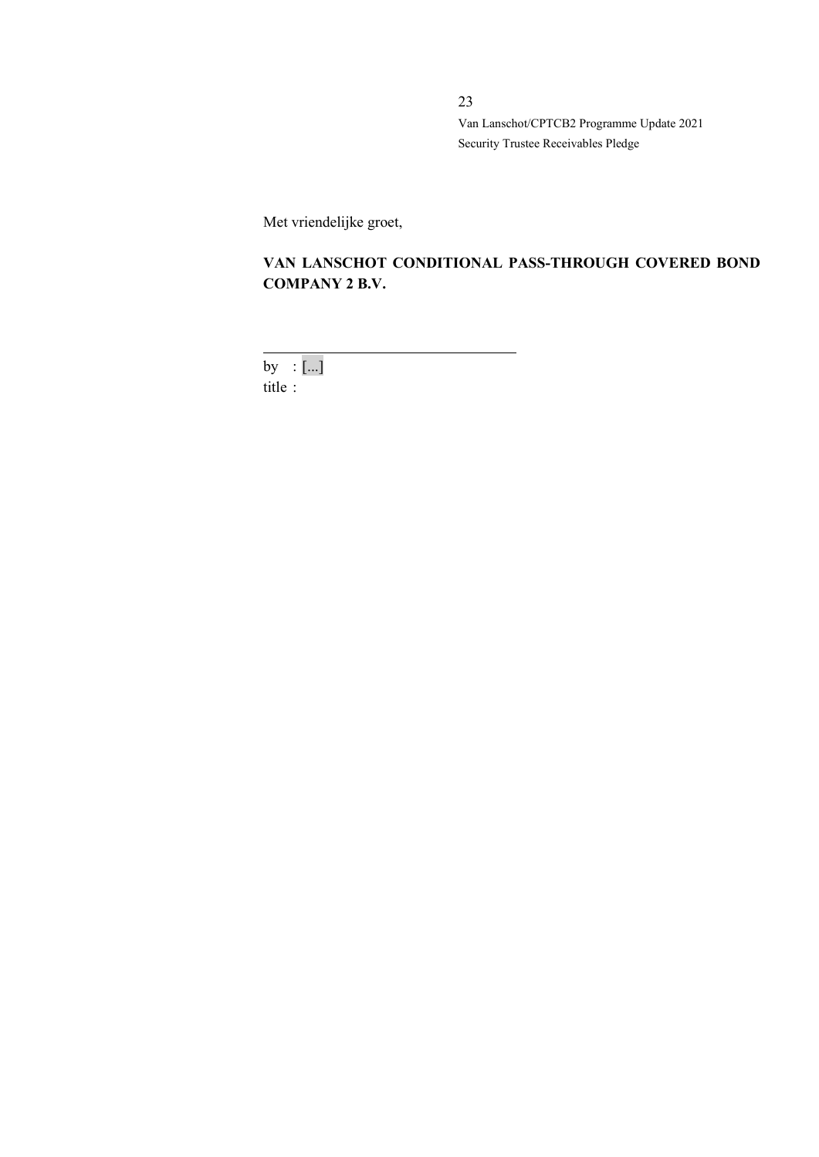Met vriendelijke groet,

# **VAN LANSCHOT CONDITIONAL PASS-THROUGH COVERED BOND COMPANY 2 B.V.**

by  $:[...]$ title :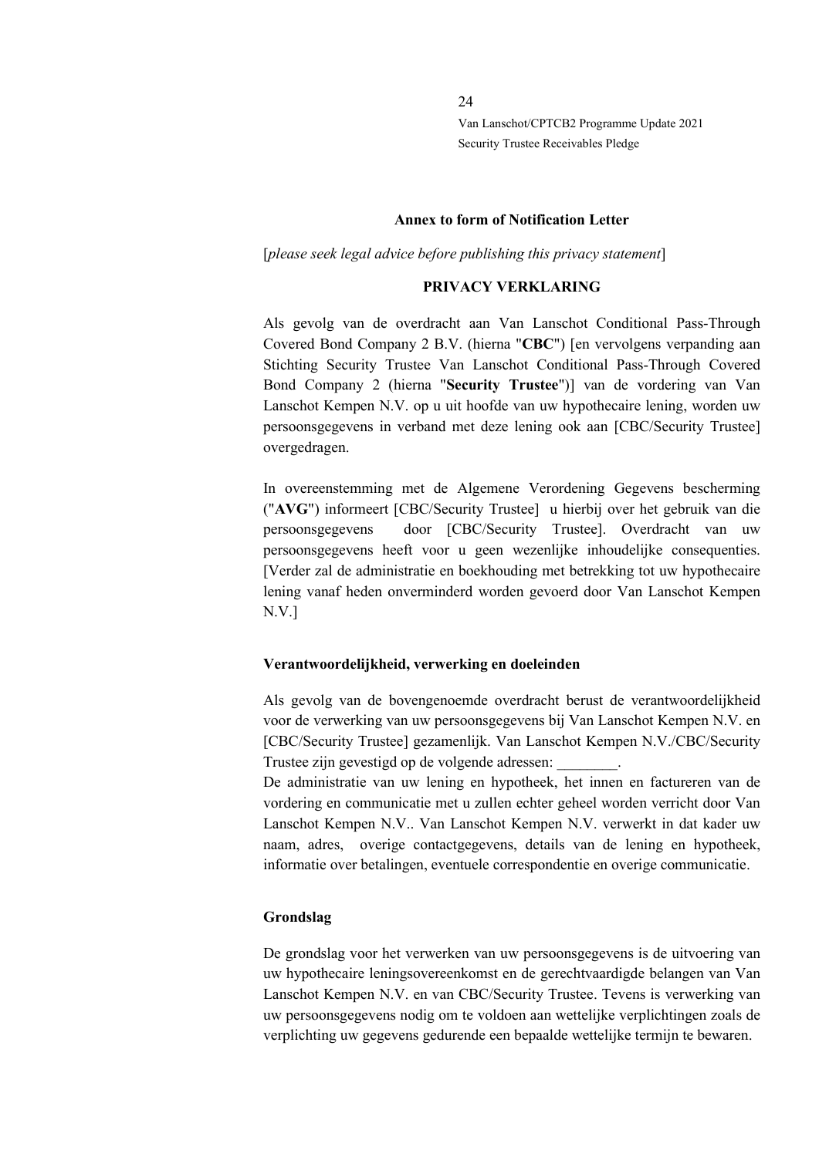#### **Annex to form of Notification Letter**

[*please seek legal advice before publishing this privacy statement*]

#### **PRIVACY VERKLARING**

Als gevolg van de overdracht aan Van Lanschot Conditional Pass-Through Covered Bond Company 2 B.V. (hierna "**CBC**") [en vervolgens verpanding aan Stichting Security Trustee Van Lanschot Conditional Pass-Through Covered Bond Company 2 (hierna "**Security Trustee**")] van de vordering van Van Lanschot Kempen N.V. op u uit hoofde van uw hypothecaire lening, worden uw persoonsgegevens in verband met deze lening ook aan [CBC/Security Trustee] overgedragen.

In overeenstemming met de Algemene Verordening Gegevens bescherming ("**AVG**") informeert [CBC/Security Trustee] u hierbij over het gebruik van die persoonsgegevens door [CBC/Security Trustee]. Overdracht van uw persoonsgegevens heeft voor u geen wezenlijke inhoudelijke consequenties. [Verder zal de administratie en boekhouding met betrekking tot uw hypothecaire lening vanaf heden onverminderd worden gevoerd door Van Lanschot Kempen N.V.]

#### **Verantwoordelijkheid, verwerking en doeleinden**

Als gevolg van de bovengenoemde overdracht berust de verantwoordelijkheid voor de verwerking van uw persoonsgegevens bij Van Lanschot Kempen N.V. en [CBC/Security Trustee] gezamenlijk. Van Lanschot Kempen N.V./CBC/Security Trustee zijn gevestigd op de volgende adressen: \_\_\_\_\_\_\_\_.

De administratie van uw lening en hypotheek, het innen en factureren van de vordering en communicatie met u zullen echter geheel worden verricht door Van Lanschot Kempen N.V.. Van Lanschot Kempen N.V. verwerkt in dat kader uw naam, adres, overige contactgegevens, details van de lening en hypotheek, informatie over betalingen, eventuele correspondentie en overige communicatie.

#### **Grondslag**

De grondslag voor het verwerken van uw persoonsgegevens is de uitvoering van uw hypothecaire leningsovereenkomst en de gerechtvaardigde belangen van Van Lanschot Kempen N.V. en van CBC/Security Trustee. Tevens is verwerking van uw persoonsgegevens nodig om te voldoen aan wettelijke verplichtingen zoals de verplichting uw gegevens gedurende een bepaalde wettelijke termijn te bewaren.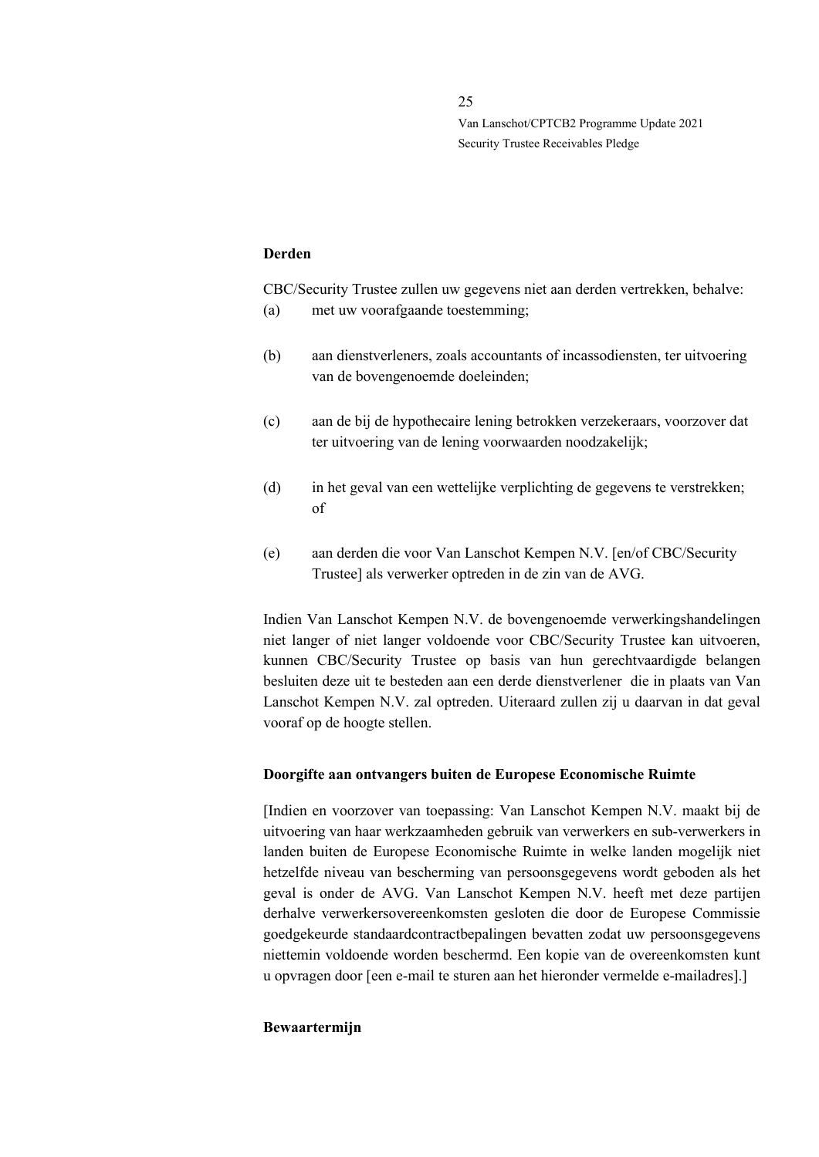#### **Derden**

CBC/Security Trustee zullen uw gegevens niet aan derden vertrekken, behalve: (a) met uw voorafgaande toestemming;

- (b) aan dienstverleners, zoals accountants of incassodiensten, ter uitvoering van de bovengenoemde doeleinden;
- (c) aan de bij de hypothecaire lening betrokken verzekeraars, voorzover dat ter uitvoering van de lening voorwaarden noodzakelijk;
- (d) in het geval van een wettelijke verplichting de gegevens te verstrekken; of
- (e) aan derden die voor Van Lanschot Kempen N.V. [en/of CBC/Security Trustee] als verwerker optreden in de zin van de AVG.

Indien Van Lanschot Kempen N.V. de bovengenoemde verwerkingshandelingen niet langer of niet langer voldoende voor CBC/Security Trustee kan uitvoeren, kunnen CBC/Security Trustee op basis van hun gerechtvaardigde belangen besluiten deze uit te besteden aan een derde dienstverlener die in plaats van Van Lanschot Kempen N.V. zal optreden. Uiteraard zullen zij u daarvan in dat geval vooraf op de hoogte stellen.

#### **Doorgifte aan ontvangers buiten de Europese Economische Ruimte**

[Indien en voorzover van toepassing: Van Lanschot Kempen N.V. maakt bij de uitvoering van haar werkzaamheden gebruik van verwerkers en sub-verwerkers in landen buiten de Europese Economische Ruimte in welke landen mogelijk niet hetzelfde niveau van bescherming van persoonsgegevens wordt geboden als het geval is onder de AVG. Van Lanschot Kempen N.V. heeft met deze partijen derhalve verwerkersovereenkomsten gesloten die door de Europese Commissie goedgekeurde standaardcontractbepalingen bevatten zodat uw persoonsgegevens niettemin voldoende worden beschermd. Een kopie van de overeenkomsten kunt u opvragen door [een e-mail te sturen aan het hieronder vermelde e-mailadres].]

#### **Bewaartermijn**